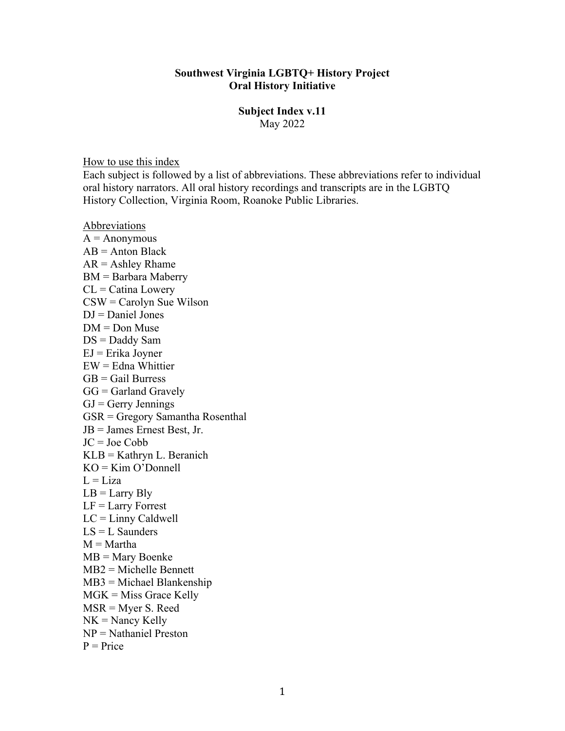### **Southwest Virginia LGBTQ+ History Project Oral History Initiative**

#### **Subject Index v.11** May 2022

How to use this index

Each subject is followed by a list of abbreviations. These abbreviations refer to individual oral history narrators. All oral history recordings and transcripts are in the LGBTQ History Collection, Virginia Room, Roanoke Public Libraries.

Abbreviations

 $A =$  Anonymous  $AB =$  Anton Black  $AR =$  Ashley Rhame BM = Barbara Maberry  $CL = Catina Lowery$ CSW = Carolyn Sue Wilson  $DJ = Daniel Jones$  $DM = Don$  Muse DS = Daddy Sam EJ = Erika Joyner  $EW =$  Edna Whittier  $GB =$ Gail Burress  $GG =$ Garland Gravely  $GJ = Gerry$  Jennings GSR = Gregory Samantha Rosenthal JB = James Ernest Best, Jr. JC = Joe Cobb KLB = Kathryn L. Beranich  $KO = Kim O'Donnell$  $L = Liza$  $LB = Larry Bly$  $LF = Larry$  Forrest  $LC = Limy$  Caldwell  $LS = L$  Saunders  $M = \text{Martha}$ MB = Mary Boenke MB2 = Michelle Bennett MB3 = Michael Blankenship MGK = Miss Grace Kelly MSR = Myer S. Reed  $NK =$  Nancy Kelly NP = Nathaniel Preston  $P = Price$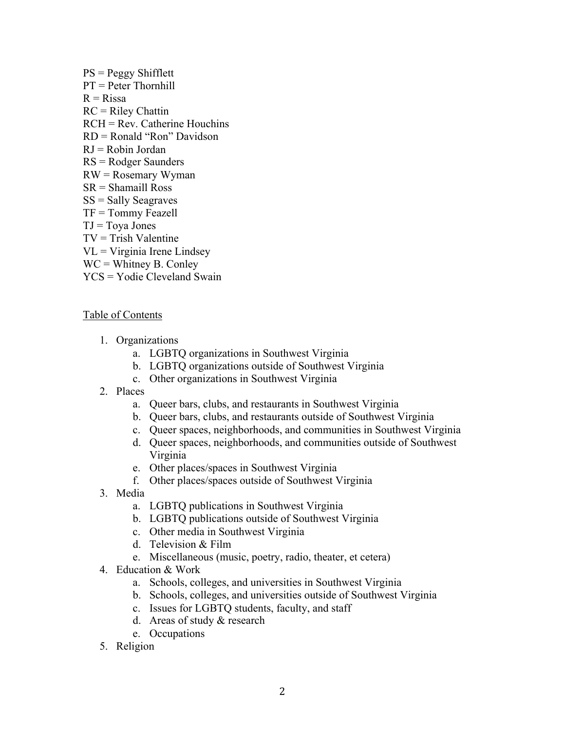PS = Peggy Shifflett PT = Peter Thornhill  $R = R$ issa  $RC =$  Riley Chattin  $RCH = Rev.$  Catherine Houchins RD = Ronald "Ron" Davidson  $RJ = R$ obin Jordan RS = Rodger Saunders RW = Rosemary Wyman SR = Shamaill Ross  $SS =$  Sally Seagraves  $TF = Tommy Feazell$  $TJ = Tova Jones$  $TV =$  Trish Valentine  $VL = Virginia$  Irene Lindsey  $WC = Whitney B. Conley$ YCS = Yodie Cleveland Swain

## Table of Contents

- 1. Organizations
	- a. LGBTQ organizations in Southwest Virginia
	- b. LGBTQ organizations outside of Southwest Virginia
	- c. Other organizations in Southwest Virginia
- 2. Places
	- a. Queer bars, clubs, and restaurants in Southwest Virginia
	- b. Queer bars, clubs, and restaurants outside of Southwest Virginia
	- c. Queer spaces, neighborhoods, and communities in Southwest Virginia
	- d. Queer spaces, neighborhoods, and communities outside of Southwest Virginia
	- e. Other places/spaces in Southwest Virginia
	- f. Other places/spaces outside of Southwest Virginia
- 3. Media
	- a. LGBTQ publications in Southwest Virginia
	- b. LGBTQ publications outside of Southwest Virginia
	- c. Other media in Southwest Virginia
	- d. Television & Film
	- e. Miscellaneous (music, poetry, radio, theater, et cetera)
- 4. Education & Work
	- a. Schools, colleges, and universities in Southwest Virginia
	- b. Schools, colleges, and universities outside of Southwest Virginia
	- c. Issues for LGBTQ students, faculty, and staff
	- d. Areas of study & research
	- e. Occupations
- 5. Religion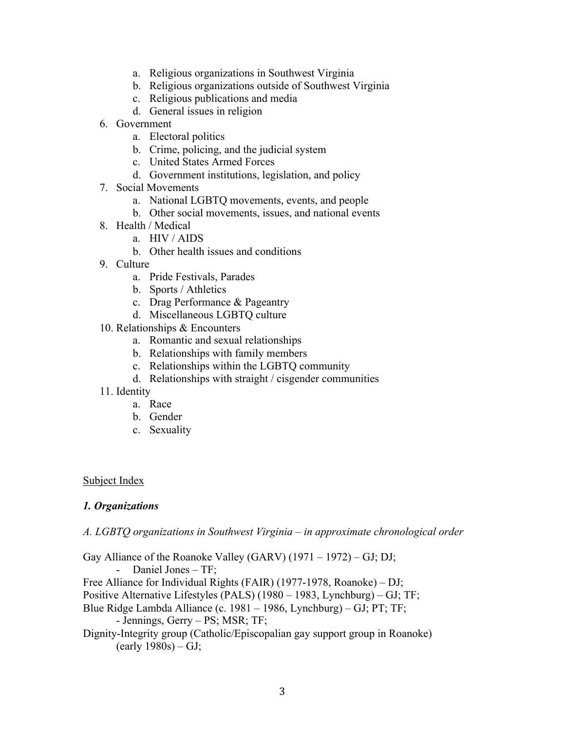- a. Religious organizations in Southwest Virginia
- b. Religious organizations outside of Southwest Virginia
- c. Religious publications and media
- d. General issues in religion
- 6. Government
	- a. Electoral politics
	- b. Crime, policing, and the judicial system
	- c. United States Armed Forces
	- d. Government institutions, legislation, and policy
- 7. Social Movements
	- a. National LGBTQ movements, events, and people
	- b. Other social movements, issues, and national events
- 8. Health / Medical
	- a. HIV / AIDS
	- b. Other health issues and conditions
- 9. Culture
	- a. Pride Festivals, Parades
	- b. Sports / Athletics
	- c. Drag Performance & Pageantry
	- d. Miscellaneous LGBTQ culture
- 10. Relationships & Encounters
	- a. Romantic and sexual relationships
	- b. Relationships with family members
	- c. Relationships within the LGBTQ community
	- d. Relationships with straight / cisgender communities
- 11. Identity
	- a. Race
	- b. Gender
	- c. Sexuality

#### Subject Index

## *1. Organizations*

*A. LGBTQ organizations in Southwest Virginia – in approximate chronological order*

Gay Alliance of the Roanoke Valley (GARV) (1971 – 1972) – GJ; DJ; - Daniel Jones – TF; Free Alliance for Individual Rights (FAIR) (1977-1978, Roanoke) – DJ; Positive Alternative Lifestyles (PALS) (1980 – 1983, Lynchburg) – GJ; TF; Blue Ridge Lambda Alliance (c. 1981 – 1986, Lynchburg) – GJ; PT; TF; - Jennings, Gerry – PS; MSR; TF; Dignity-Integrity group (Catholic/Episcopalian gay support group in Roanoke)  $(early 1980s) - GJ;$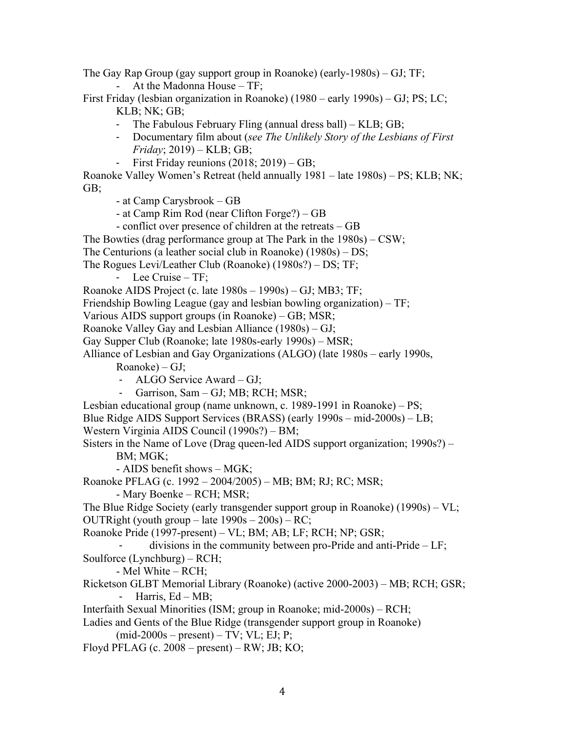The Gay Rap Group (gay support group in Roanoke) (early-1980s) – GJ; TF;

- At the Madonna House – TF;

First Friday (lesbian organization in Roanoke) (1980 – early 1990s) – GJ; PS; LC; KLB; NK; GB;

- The Fabulous February Fling (annual dress ball) KLB; GB;
- Documentary film about (*see The Unlikely Story of the Lesbians of First Friday*; 2019) – KLB; GB;
- First Friday reunions (2018; 2019) GB;

Roanoke Valley Women's Retreat (held annually 1981 – late 1980s) – PS; KLB; NK; GB;

- at Camp Carysbrook – GB

- at Camp Rim Rod (near Clifton Forge?) GB
- conflict over presence of children at the retreats GB

The Bowties (drag performance group at The Park in the 1980s) – CSW;

The Centurions (a leather social club in Roanoke) (1980s) – DS;

- The Rogues Levi/Leather Club (Roanoke) (1980s?) DS; TF;
	- Lee Cruise TF;
- Roanoke AIDS Project (c. late 1980s 1990s) GJ; MB3; TF;
- Friendship Bowling League (gay and lesbian bowling organization) TF;

Various AIDS support groups (in Roanoke) – GB; MSR;

- Roanoke Valley Gay and Lesbian Alliance (1980s) GJ;
- Gay Supper Club (Roanoke; late 1980s-early 1990s) MSR;
- Alliance of Lesbian and Gay Organizations (ALGO) (late 1980s early 1990s,
	- Roanoke) GJ;
	- ALGO Service Award GJ;
	- Garrison, Sam GJ; MB; RCH; MSR;
- Lesbian educational group (name unknown, c. 1989-1991 in Roanoke) PS;
- Blue Ridge AIDS Support Services (BRASS) (early 1990s mid-2000s) LB;
- Western Virginia AIDS Council (1990s?) BM;
- Sisters in the Name of Love (Drag queen-led AIDS support organization; 1990s?) BM; MGK;
	- AIDS benefit shows MGK;

Roanoke PFLAG (c. 1992 – 2004/2005) – MB; BM; RJ; RC; MSR;

- Mary Boenke – RCH; MSR;

The Blue Ridge Society (early transgender support group in Roanoke) (1990s) – VL; OUTRight (youth group – late  $1990s - 200s$ ) – RC;

Roanoke Pride (1997-present) – VL; BM; AB; LF; RCH; NP; GSR;

divisions in the community between pro-Pride and anti-Pride –  $LF$ ; Soulforce (Lynchburg) – RCH;

- Mel White – RCH;

Ricketson GLBT Memorial Library (Roanoke) (active 2000-2003) – MB; RCH; GSR; - Harris, Ed – MB;

Interfaith Sexual Minorities (ISM; group in Roanoke; mid-2000s) – RCH;

Ladies and Gents of the Blue Ridge (transgender support group in Roanoke)  $(mid-2000s - present) - TV$ ; VL; EJ; P;

Floyd PFLAG (c.  $2008 - present$ ) – RW; JB; KO;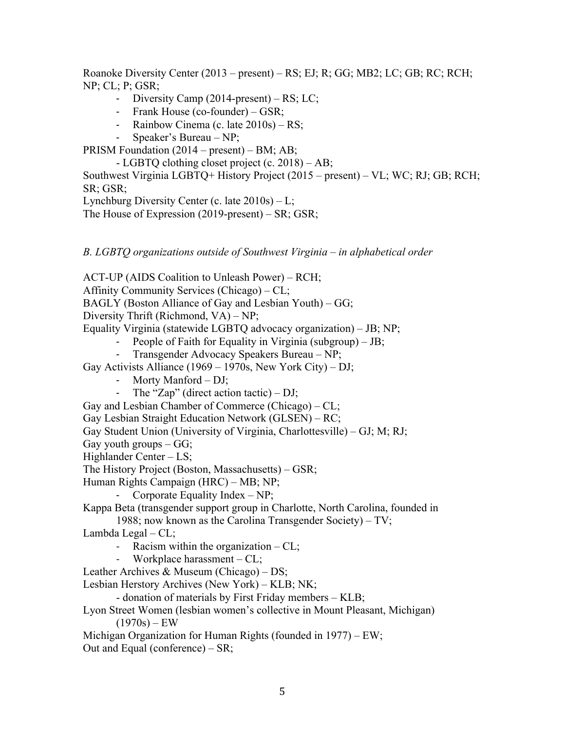Roanoke Diversity Center (2013 – present) – RS; EJ; R; GG; MB2; LC; GB; RC; RCH; NP; CL; P; GSR;

- Diversity Camp (2014-present) RS; LC;
- Frank House (co-founder) GSR;
- Rainbow Cinema (c. late 2010s) RS;
- Speaker's Bureau NP;

PRISM Foundation (2014 – present) – BM; AB;

- LGBTQ clothing closet project (c. 2018) – AB;

Southwest Virginia LGBTQ+ History Project (2015 – present) – VL; WC; RJ; GB; RCH; SR; GSR;

Lynchburg Diversity Center (c. late  $2010s$ ) – L;

The House of Expression (2019-present) – SR; GSR;

*B. LGBTQ organizations outside of Southwest Virginia – in alphabetical order* 

ACT-UP (AIDS Coalition to Unleash Power) – RCH;

Affinity Community Services (Chicago) – CL;

BAGLY (Boston Alliance of Gay and Lesbian Youth) – GG;

Diversity Thrift (Richmond, VA) – NP;

Equality Virginia (statewide LGBTQ advocacy organization) – JB; NP;

- People of Faith for Equality in Virginia (subgroup) JB;
- Transgender Advocacy Speakers Bureau NP;
- Gay Activists Alliance (1969 1970s, New York City) DJ;
	- Morty Manford DJ;
	- The "Zap" (direct action tactic) DJ;
- Gay and Lesbian Chamber of Commerce (Chicago) CL;
- Gay Lesbian Straight Education Network (GLSEN) RC;

Gay Student Union (University of Virginia, Charlottesville) – GJ; M; RJ;

Gay youth groups  $-GG$ ;

Highlander Center – LS;

The History Project (Boston, Massachusetts) – GSR;

Human Rights Campaign (HRC) – MB; NP;

- Corporate Equality Index – NP;

Kappa Beta (transgender support group in Charlotte, North Carolina, founded in 1988; now known as the Carolina Transgender Society) – TV;

Lambda Legal – CL;

- Racism within the organization  $-CL$ ;
- Workplace harassment  $-CL$ ;

Leather Archives & Museum (Chicago) – DS;

Lesbian Herstory Archives (New York) – KLB; NK;

- donation of materials by First Friday members – KLB;

Lyon Street Women (lesbian women's collective in Mount Pleasant, Michigan)  $(1970s) - EW$ 

Michigan Organization for Human Rights (founded in 1977) – EW; Out and Equal (conference) – SR;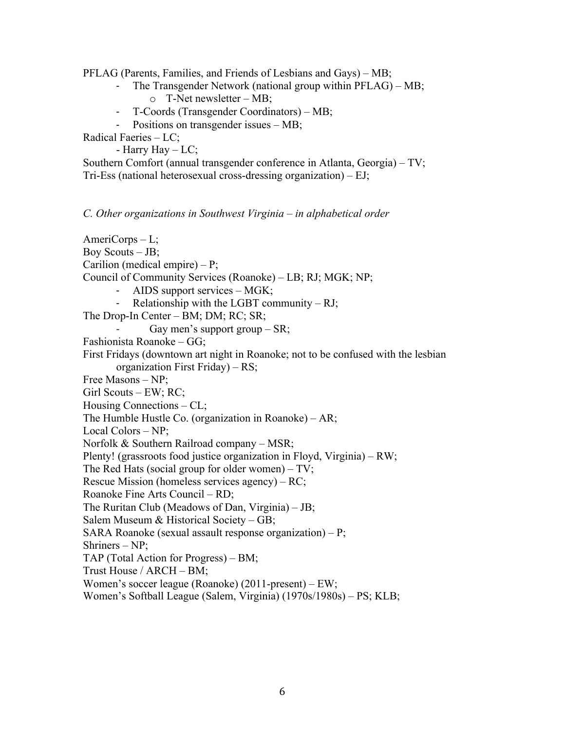PFLAG (Parents, Families, and Friends of Lesbians and Gays) – MB;

- The Transgender Network (national group within PFLAG) MB;
	- o T-Net newsletter MB;
- T-Coords (Transgender Coordinators) MB;
- Positions on transgender issues MB;

Radical Faeries – LC;

- Harry Hay – LC;

Southern Comfort (annual transgender conference in Atlanta, Georgia) – TV; Tri-Ess (national heterosexual cross-dressing organization) – EJ;

*C. Other organizations in Southwest Virginia – in alphabetical order*

AmeriCorps – L; Boy Scouts – JB; Carilion (medical empire) – P; Council of Community Services (Roanoke) – LB; RJ; MGK; NP; AIDS support services – MGK; - Relationship with the LGBT community – RJ; The Drop-In Center – BM; DM; RC; SR; Gay men's support group  $-SR$ ; Fashionista Roanoke – GG; First Fridays (downtown art night in Roanoke; not to be confused with the lesbian organization First Friday) – RS; Free Masons – NP; Girl Scouts – EW; RC; Housing Connections – CL; The Humble Hustle Co. (organization in Roanoke) – AR; Local Colors – NP; Norfolk & Southern Railroad company – MSR; Plenty! (grassroots food justice organization in Floyd, Virginia) – RW; The Red Hats (social group for older women) – TV; Rescue Mission (homeless services agency) – RC; Roanoke Fine Arts Council – RD; The Ruritan Club (Meadows of Dan, Virginia) – JB; Salem Museum & Historical Society – GB; SARA Roanoke (sexual assault response organization) – P; Shriners – NP; TAP (Total Action for Progress) – BM; Trust House / ARCH – BM; Women's soccer league (Roanoke) (2011-present) – EW;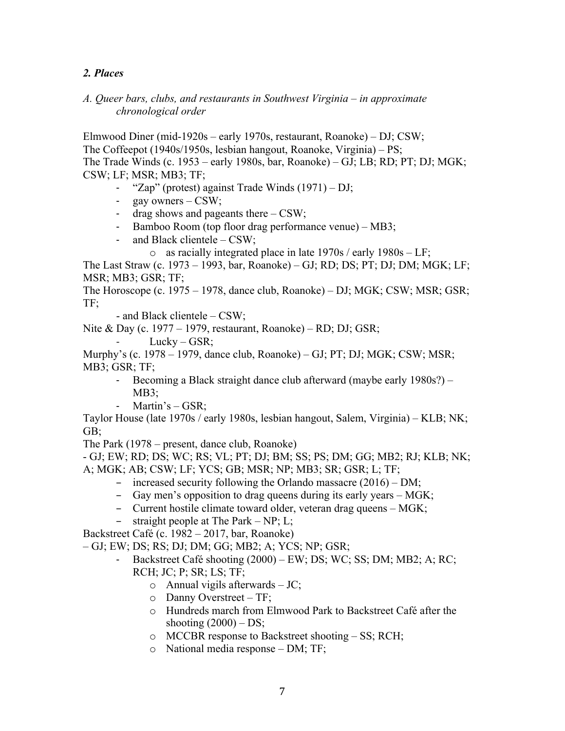## *2. Places*

## *A. Queer bars, clubs, and restaurants in Southwest Virginia – in approximate chronological order*

Elmwood Diner (mid-1920s – early 1970s, restaurant, Roanoke) – DJ; CSW; The Coffeepot (1940s/1950s, lesbian hangout, Roanoke, Virginia) – PS; The Trade Winds (c. 1953 – early 1980s, bar, Roanoke) – GJ; LB; RD; PT; DJ; MGK; CSW; LF; MSR; MB3; TF;

- "Zap" (protest) against Trade Winds (1971) DJ;
- gay owners CSW;
- drag shows and pageants there CSW;
- Bamboo Room (top floor drag performance venue) MB3;
- and Black clientele CSW;
	- o as racially integrated place in late  $1970s /$  early  $1980s LF$ ;

The Last Straw (c. 1973 – 1993, bar, Roanoke) – GJ; RD; DS; PT; DJ; DM; MGK; LF; MSR; MB3; GSR; TF;

The Horoscope (c. 1975 – 1978, dance club, Roanoke) – DJ; MGK; CSW; MSR; GSR; TF;

- and Black clientele – CSW;

Nite & Day (c. 1977 – 1979, restaurant, Roanoke) – RD; DJ; GSR;

 $Lucky - GSR;$ 

Murphy's (c. 1978 – 1979, dance club, Roanoke) – GJ; PT; DJ; MGK; CSW; MSR; MB3; GSR; TF;

- Becoming a Black straight dance club afterward (maybe early 1980s?) MB3;
- Martin's GSR;

Taylor House (late 1970s / early 1980s, lesbian hangout, Salem, Virginia) – KLB; NK; GB;

The Park (1978 – present, dance club, Roanoke)

- GJ; EW; RD; DS; WC; RS; VL; PT; DJ; BM; SS; PS; DM; GG; MB2; RJ; KLB; NK; A; MGK; AB; CSW; LF; YCS; GB; MSR; NP; MB3; SR; GSR; L; TF;

- increased security following the Orlando massacre (2016) DM;
- Gay men's opposition to drag queens during its early years MGK;
- Current hostile climate toward older, veteran drag queens MGK;
- $-$  straight people at The Park NP; L;

Backstreet Café (c. 1982 – 2017, bar, Roanoke)

– GJ; EW; DS; RS; DJ; DM; GG; MB2; A; YCS; NP; GSR;

- Backstreet Café shooting (2000) EW; DS; WC; SS; DM; MB2; A; RC; RCH; JC; P; SR; LS; TF;
	- $\circ$  Annual vigils afterwards JC;
	- o Danny Overstreet TF;
	- o Hundreds march from Elmwood Park to Backstreet Café after the shooting  $(2000) - DS$ ;
	- o MCCBR response to Backstreet shooting SS; RCH;
	- o National media response DM; TF;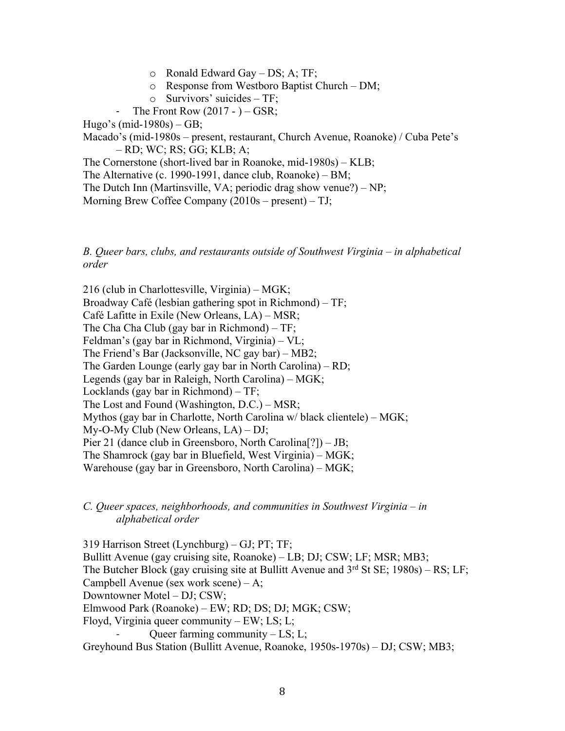- o Ronald Edward Gay DS; A; TF;
- o Response from Westboro Baptist Church DM;
- o Survivors' suicides TF;
- The Front Row  $(2017 ) GSR$ ;

Hugo's (mid-1980s) – GB;

Macado's (mid-1980s – present, restaurant, Church Avenue, Roanoke) / Cuba Pete's – RD; WC; RS; GG; KLB; A;

The Cornerstone (short-lived bar in Roanoke, mid-1980s) – KLB;

The Alternative (c. 1990-1991, dance club, Roanoke) – BM;

The Dutch Inn (Martinsville, VA; periodic drag show venue?) – NP;

Morning Brew Coffee Company (2010s – present) – TJ;

#### *B. Queer bars, clubs, and restaurants outside of Southwest Virginia – in alphabetical order*

216 (club in Charlottesville, Virginia) – MGK; Broadway Café (lesbian gathering spot in Richmond) – TF; Café Lafitte in Exile (New Orleans, LA) – MSR; The Cha Cha Club (gay bar in Richmond) – TF; Feldman's (gay bar in Richmond, Virginia) – VL; The Friend's Bar (Jacksonville, NC gay bar) – MB2; The Garden Lounge (early gay bar in North Carolina) – RD; Legends (gay bar in Raleigh, North Carolina) – MGK; Locklands (gay bar in Richmond) – TF; The Lost and Found (Washington, D.C.) – MSR; Mythos (gay bar in Charlotte, North Carolina w/ black clientele) – MGK; My-O-My Club (New Orleans, LA) – DJ; Pier 21 (dance club in Greensboro, North Carolina[?]) – JB; The Shamrock (gay bar in Bluefield, West Virginia) – MGK; Warehouse (gay bar in Greensboro, North Carolina) – MGK;

#### *C. Queer spaces, neighborhoods, and communities in Southwest Virginia – in alphabetical order*

319 Harrison Street (Lynchburg) – GJ; PT; TF; Bullitt Avenue (gay cruising site, Roanoke) – LB; DJ; CSW; LF; MSR; MB3; The Butcher Block (gay cruising site at Bullitt Avenue and  $3<sup>rd</sup>$  St SE; 1980s) – RS; LF; Campbell Avenue (sex work scene) – A; Downtowner Motel – DJ; CSW; Elmwood Park (Roanoke) – EW; RD; DS; DJ; MGK; CSW; Floyd, Virginia queer community – EW; LS; L; Oueer farming community  $- LS; L;$ Greyhound Bus Station (Bullitt Avenue, Roanoke, 1950s-1970s) – DJ; CSW; MB3;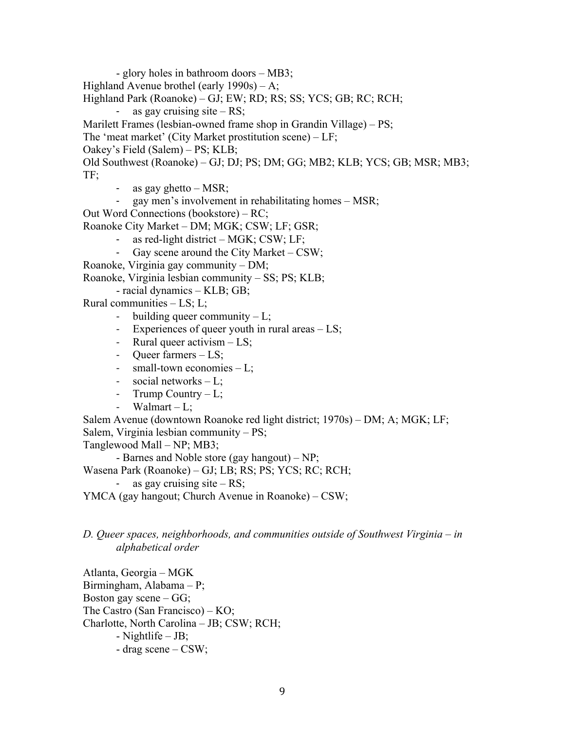- glory holes in bathroom doors – MB3; Highland Avenue brothel (early 1990s) – A; Highland Park (Roanoke) – GJ; EW; RD; RS; SS; YCS; GB; RC; RCH; as gay cruising site  $- RS$ ; Marilett Frames (lesbian-owned frame shop in Grandin Village) – PS; The 'meat market' (City Market prostitution scene) – LF; Oakey's Field (Salem) – PS; KLB; Old Southwest (Roanoke) – GJ; DJ; PS; DM; GG; MB2; KLB; YCS; GB; MSR; MB3; TF; as gay ghetto  $-$  MSR; - gay men's involvement in rehabilitating homes – MSR;

Out Word Connections (bookstore) – RC;

Roanoke City Market – DM; MGK; CSW; LF; GSR;

- as red-light district MGK;  $CSW$ ; LF;
- Gay scene around the City Market  $CSW$ ;

Roanoke, Virginia gay community – DM;

Roanoke, Virginia lesbian community – SS; PS; KLB;

- racial dynamics – KLB; GB;

Rural communities – LS; L;

- building queer community  $-L$ ;
- Experiences of queer youth in rural areas LS;
- Rural queer activism LS;
- Queer farmers LS;
- small-town economies L;
- social networks L;
- Trump Country L;
- Walmart  $-L$ ;

Salem Avenue (downtown Roanoke red light district; 1970s) – DM; A; MGK; LF; Salem, Virginia lesbian community – PS;

Tanglewood Mall – NP; MB3;

- Barnes and Noble store (gay hangout) – NP;

Wasena Park (Roanoke) – GJ; LB; RS; PS; YCS; RC; RCH;

as gay cruising site  $- RS$ ;

YMCA (gay hangout; Church Avenue in Roanoke) – CSW;

## *D. Queer spaces, neighborhoods, and communities outside of Southwest Virginia – in alphabetical order*

Atlanta, Georgia – MGK Birmingham, Alabama – P; Boston gay scene  $-GG$ ; The Castro (San Francisco) – KO; Charlotte, North Carolina – JB; CSW; RCH; - Nightlife – JB; - drag scene – CSW;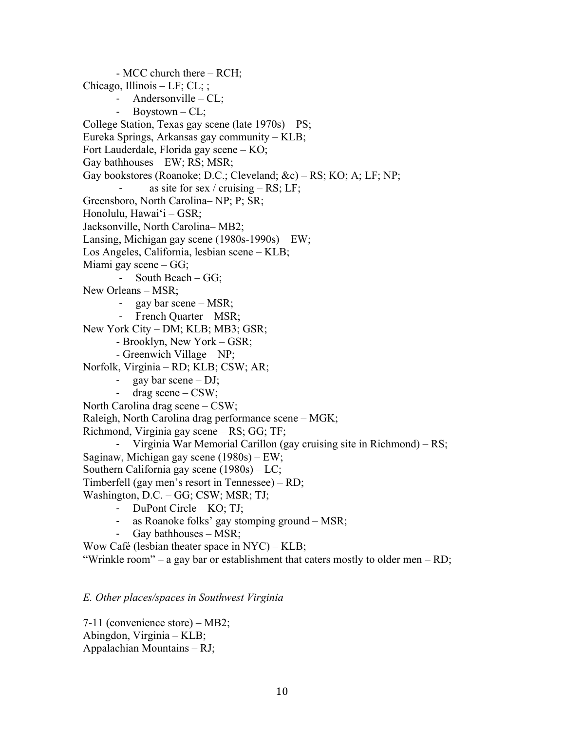- MCC church there – RCH; Chicago, Illinois – LF; CL; ; Andersonville –  $CL;$ - Boystown  $-CL$ ; College Station, Texas gay scene (late 1970s) – PS; Eureka Springs, Arkansas gay community – KLB; Fort Lauderdale, Florida gay scene – KO; Gay bathhouses – EW; RS; MSR; Gay bookstores (Roanoke; D.C.; Cleveland; &c) – RS; KO; A; LF; NP; as site for sex / cruising – RS; LF; Greensboro, North Carolina– NP; P; SR; Honolulu, Hawaiʻi – GSR; Jacksonville, North Carolina– MB2; Lansing, Michigan gay scene (1980s-1990s) – EW; Los Angeles, California, lesbian scene – KLB; Miami gay scene – GG; South Beach –  $GG$ ; New Orleans – MSR; gay bar scene – MSR; - French Quarter – MSR; New York City – DM; KLB; MB3; GSR; - Brooklyn, New York – GSR; - Greenwich Village – NP; Norfolk, Virginia – RD; KLB; CSW; AR; gay bar scene  $-$  DJ; - drag scene – CSW; North Carolina drag scene – CSW; Raleigh, North Carolina drag performance scene – MGK; Richmond, Virginia gay scene – RS; GG; TF; Virginia War Memorial Carillon (gay cruising site in Richmond) –  $RS$ ; Saginaw, Michigan gay scene (1980s) – EW; Southern California gay scene (1980s) – LC; Timberfell (gay men's resort in Tennessee) – RD; Washington, D.C. – GG; CSW; MSR; TJ; - DuPont Circle – KO; TJ; - as Roanoke folks' gay stomping ground – MSR; - Gay bathhouses – MSR; Wow Café (lesbian theater space in NYC) – KLB; "Wrinkle room" – a gay bar or establishment that caters mostly to older men – RD;

#### *E. Other places/spaces in Southwest Virginia*

7-11 (convenience store) – MB2; Abingdon, Virginia – KLB; Appalachian Mountains – RJ;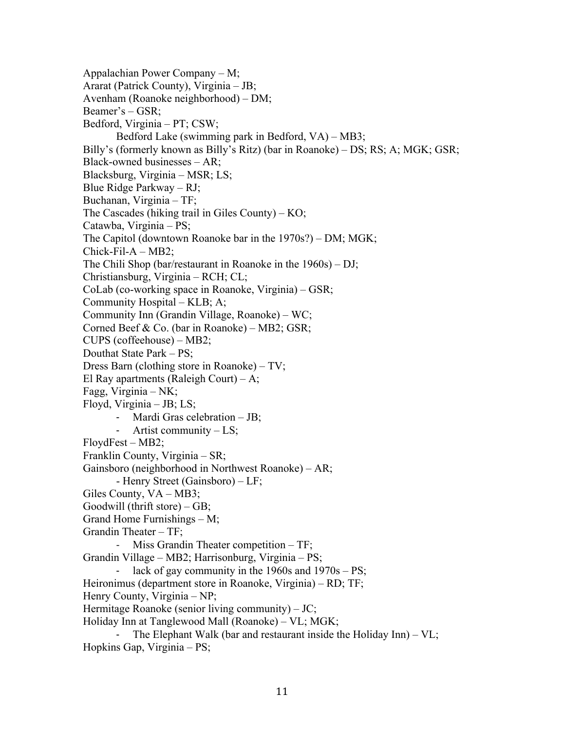Appalachian Power Company – M; Ararat (Patrick County), Virginia – JB; Avenham (Roanoke neighborhood) – DM; Beamer's – GSR; Bedford, Virginia – PT; CSW; Bedford Lake (swimming park in Bedford, VA) – MB3; Billy's (formerly known as Billy's Ritz) (bar in Roanoke) – DS; RS; A; MGK; GSR; Black-owned businesses – AR; Blacksburg, Virginia – MSR; LS; Blue Ridge Parkway – RJ; Buchanan, Virginia – TF; The Cascades (hiking trail in Giles County) – KO; Catawba, Virginia – PS; The Capitol (downtown Roanoke bar in the 1970s?) – DM; MGK;  $Chick-Fil-A-MB2;$ The Chili Shop (bar/restaurant in Roanoke in the 1960s) – DJ; Christiansburg, Virginia – RCH; CL; CoLab (co-working space in Roanoke, Virginia) – GSR; Community Hospital – KLB; A; Community Inn (Grandin Village, Roanoke) – WC; Corned Beef & Co. (bar in Roanoke) – MB2; GSR; CUPS (coffeehouse) – MB2; Douthat State Park – PS; Dress Barn (clothing store in Roanoke) – TV; El Ray apartments (Raleigh Court) – A; Fagg, Virginia – NK; Floyd, Virginia – JB; LS; - Mardi Gras celebration – JB; - Artist community – LS; FloydFest – MB2; Franklin County, Virginia – SR; Gainsboro (neighborhood in Northwest Roanoke) – AR; - Henry Street (Gainsboro) – LF; Giles County, VA – MB3; Goodwill (thrift store)  $-GB$ ; Grand Home Furnishings – M; Grandin Theater – TF; Miss Grandin Theater competition – TF; Grandin Village – MB2; Harrisonburg, Virginia – PS; - lack of gay community in the 1960s and 1970s – PS; Heironimus (department store in Roanoke, Virginia) – RD; TF; Henry County, Virginia – NP; Hermitage Roanoke (senior living community) – JC; Holiday Inn at Tanglewood Mall (Roanoke) – VL; MGK; The Elephant Walk (bar and restaurant inside the Holiday Inn)  $-VL$ ; Hopkins Gap, Virginia – PS;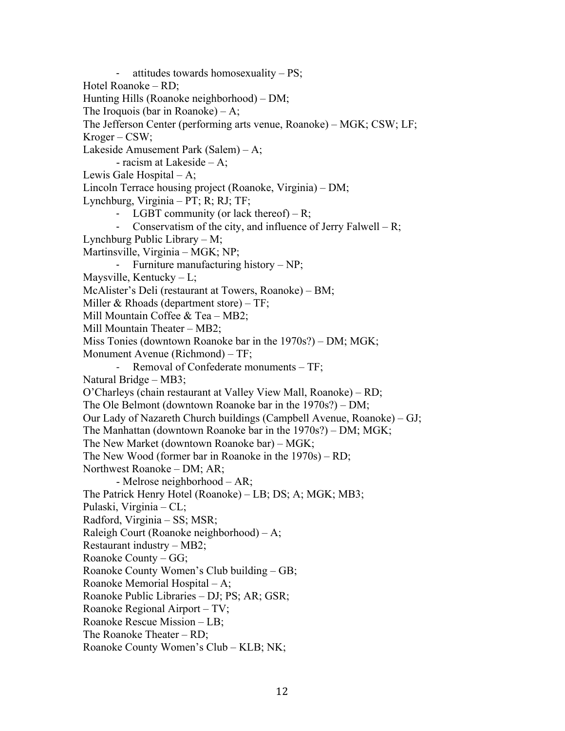- attitudes towards homosexuality – PS; Hotel Roanoke – RD; Hunting Hills (Roanoke neighborhood) – DM; The Iroquois (bar in Roanoke)  $-A$ ; The Jefferson Center (performing arts venue, Roanoke) – MGK; CSW; LF; Kroger – CSW; Lakeside Amusement Park (Salem) – A; - racism at Lakeside – A; Lewis Gale Hospital – A; Lincoln Terrace housing project (Roanoke, Virginia) – DM; Lynchburg, Virginia – PT; R; RJ; TF; - LGBT community (or lack thereof)  $-R$ ; - Conservatism of the city, and influence of Jerry Falwell – R; Lynchburg Public Library – M; Martinsville, Virginia – MGK; NP; - Furniture manufacturing history – NP; Maysville, Kentucky – L; McAlister's Deli (restaurant at Towers, Roanoke) – BM; Miller & Rhoads (department store)  $-TF$ ; Mill Mountain Coffee & Tea – MB2; Mill Mountain Theater – MB2; Miss Tonies (downtown Roanoke bar in the 1970s?) – DM; MGK; Monument Avenue (Richmond) – TF; Removal of Confederate monuments – TF; Natural Bridge – MB3; O'Charleys (chain restaurant at Valley View Mall, Roanoke) – RD; The Ole Belmont (downtown Roanoke bar in the 1970s?) – DM; Our Lady of Nazareth Church buildings (Campbell Avenue, Roanoke) – GJ; The Manhattan (downtown Roanoke bar in the 1970s?) – DM; MGK; The New Market (downtown Roanoke bar) – MGK; The New Wood (former bar in Roanoke in the 1970s) – RD; Northwest Roanoke – DM; AR; - Melrose neighborhood – AR; The Patrick Henry Hotel (Roanoke) – LB; DS; A; MGK; MB3; Pulaski, Virginia – CL; Radford, Virginia – SS; MSR; Raleigh Court (Roanoke neighborhood) – A; Restaurant industry – MB2; Roanoke County – GG; Roanoke County Women's Club building – GB; Roanoke Memorial Hospital – A; Roanoke Public Libraries – DJ; PS; AR; GSR; Roanoke Regional Airport – TV; Roanoke Rescue Mission – LB; The Roanoke Theater – RD; Roanoke County Women's Club – KLB; NK;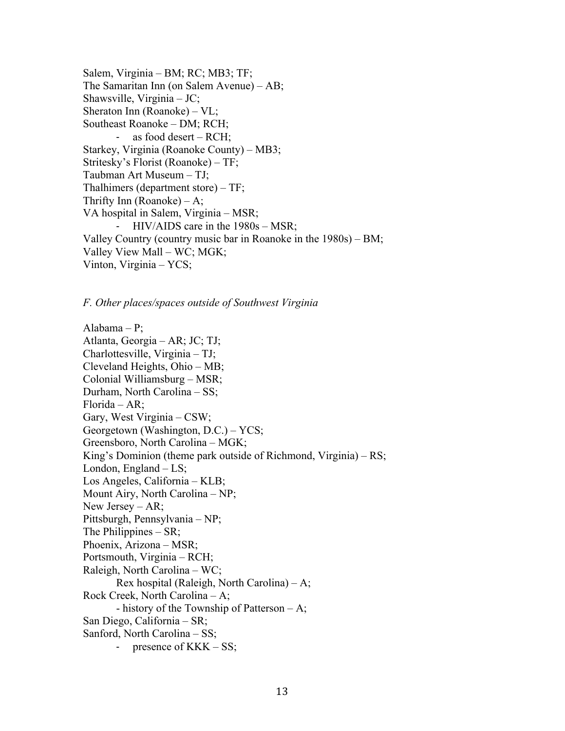Salem, Virginia – BM; RC; MB3; TF; The Samaritan Inn (on Salem Avenue) – AB; Shawsville, Virginia – JC; Sheraton Inn (Roanoke) – VL; Southeast Roanoke – DM; RCH; as food desert –  $RCH$ ; Starkey, Virginia (Roanoke County) – MB3; Stritesky's Florist (Roanoke) – TF; Taubman Art Museum – TJ; Thalhimers (department store) – TF; Thrifty Inn (Roanoke)  $-A$ ; VA hospital in Salem, Virginia – MSR; - HIV/AIDS care in the 1980s – MSR; Valley Country (country music bar in Roanoke in the 1980s) – BM; Valley View Mall – WC; MGK; Vinton, Virginia – YCS;

*F. Other places/spaces outside of Southwest Virginia*

Alabama – P; Atlanta, Georgia – AR; JC; TJ; Charlottesville, Virginia – TJ; Cleveland Heights, Ohio – MB; Colonial Williamsburg – MSR; Durham, North Carolina – SS; Florida – AR; Gary, West Virginia – CSW; Georgetown (Washington, D.C.) – YCS; Greensboro, North Carolina – MGK; King's Dominion (theme park outside of Richmond, Virginia) – RS; London, England – LS; Los Angeles, California – KLB; Mount Airy, North Carolina – NP; New Jersey – AR; Pittsburgh, Pennsylvania – NP; The Philippines – SR; Phoenix, Arizona – MSR; Portsmouth, Virginia – RCH; Raleigh, North Carolina – WC; Rex hospital (Raleigh, North Carolina) – A; Rock Creek, North Carolina – A; - history of the Township of Patterson  $-A$ ; San Diego, California – SR; Sanford, North Carolina – SS; presence of  $KKK - SS$ ;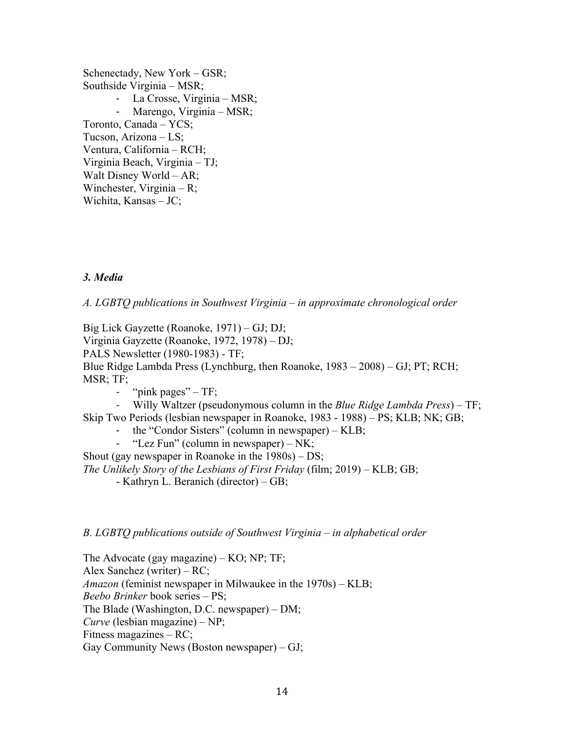Schenectady, New York – GSR; Southside Virginia – MSR; - La Crosse, Virginia – MSR; - Marengo, Virginia – MSR; Toronto, Canada – YCS; Tucson, Arizona – LS; Ventura, California – RCH; Virginia Beach, Virginia – TJ; Walt Disney World – AR; Winchester, Virginia – R; Wichita, Kansas – JC;

### *3. Media*

*A. LGBTQ publications in Southwest Virginia – in approximate chronological order*

Big Lick Gayzette (Roanoke, 1971) – GJ; DJ; Virginia Gayzette (Roanoke, 1972, 1978) – DJ; PALS Newsletter (1980-1983) - TF; Blue Ridge Lambda Press (Lynchburg, then Roanoke, 1983 – 2008) – GJ; PT; RCH; MSR; TF; - "pink pages" – TF;

- Willy Waltzer (pseudonymous column in the *Blue Ridge Lambda Press*) – TF; Skip Two Periods (lesbian newspaper in Roanoke, 1983 - 1988) – PS; KLB; NK; GB;

- the "Condor Sisters" (column in newspaper) KLB;
- "Lez Fun" (column in newspaper) NK;

Shout (gay newspaper in Roanoke in the 1980s) – DS;

*The Unlikely Story of the Lesbians of First Friday* (film; 2019) – KLB; GB;

- Kathryn L. Beranich (director) – GB;

*B. LGBTQ publications outside of Southwest Virginia – in alphabetical order*

The Advocate (gay magazine) – KO; NP; TF; Alex Sanchez (writer) – RC; *Amazon* (feminist newspaper in Milwaukee in the 1970s) – KLB; *Beebo Brinker* book series – PS; The Blade (Washington, D.C. newspaper) – DM; *Curve* (lesbian magazine) – NP; Fitness magazines – RC; Gay Community News (Boston newspaper) – GJ;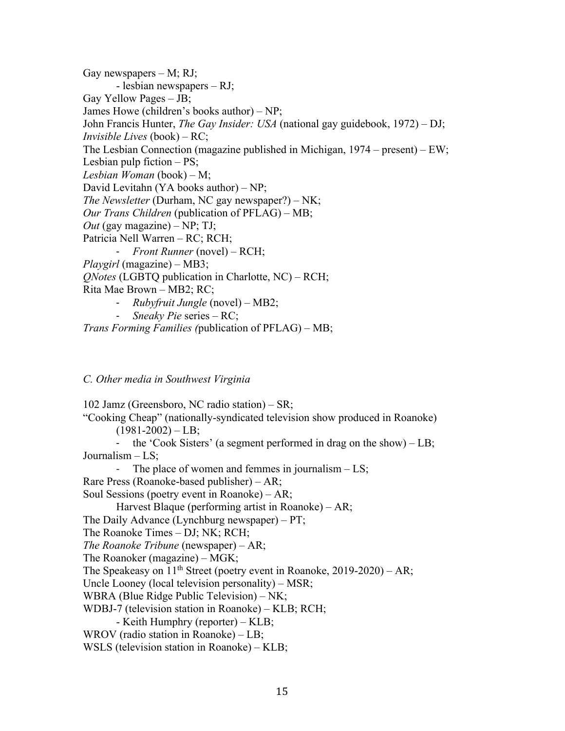Gay newspapers  $- M$ ; RJ; - lesbian newspapers – RJ; Gay Yellow Pages – JB; James Howe (children's books author) – NP; John Francis Hunter, *The Gay Insider: USA* (national gay guidebook, 1972) – DJ; *Invisible Lives* (book) – RC; The Lesbian Connection (magazine published in Michigan, 1974 – present) – EW; Lesbian pulp fiction – PS; *Lesbian Woman* (book) – M; David Levitahn (YA books author) – NP; *The Newsletter* (Durham, NC gay newspaper?) – NK; *Our Trans Children* (publication of PFLAG) – MB; *Out* (gay magazine) – NP; TJ; Patricia Nell Warren – RC; RCH; - *Front Runner* (novel) – RCH; *Playgirl* (magazine) – MB3; *QNotes* (LGBTQ publication in Charlotte, NC) – RCH; Rita Mae Brown – MB2; RC; - *Rubyfruit Jungle* (novel) – MB2;

- *Sneaky Pie* series RC;
- *Trans Forming Families (*publication of PFLAG) MB;

#### *C. Other media in Southwest Virginia*

102 Jamz (Greensboro, NC radio station) – SR; "Cooking Cheap" (nationally-syndicated television show produced in Roanoke)  $(1981-2002) - LB;$ - the 'Cook Sisters' (a segment performed in drag on the show) – LB; Journalism – LS; The place of women and femmes in journalism  $-$  LS; Rare Press (Roanoke-based publisher) – AR; Soul Sessions (poetry event in Roanoke) – AR; Harvest Blaque (performing artist in Roanoke) – AR; The Daily Advance (Lynchburg newspaper) – PT; The Roanoke Times *–* DJ; NK; RCH; *The Roanoke Tribune* (newspaper) – AR; The Roanoker (magazine) – MGK; The Speakeasy on  $11<sup>th</sup>$  Street (poetry event in Roanoke, 2019-2020) – AR; Uncle Looney (local television personality) – MSR; WBRA (Blue Ridge Public Television) – NK; WDBJ-7 (television station in Roanoke) – KLB; RCH; - Keith Humphry (reporter) – KLB; WROV (radio station in Roanoke) – LB; WSLS (television station in Roanoke) – KLB;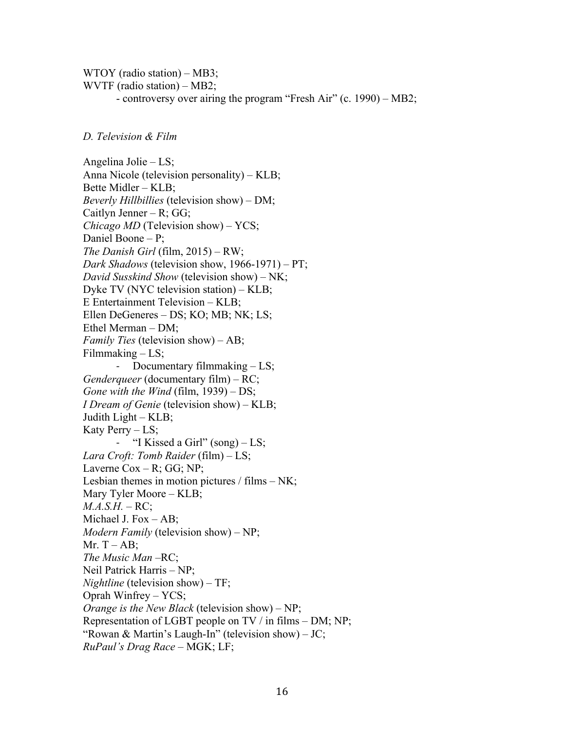WTOY (radio station) – MB3; WVTF (radio station) – MB2; - controversy over airing the program "Fresh Air" (c. 1990) – MB2;

#### *D. Television & Film*

Angelina Jolie – LS; Anna Nicole (television personality) – KLB; Bette Midler – KLB; *Beverly Hillbillies* (television show) – DM; Caitlyn Jenner – R;  $GG$ ; *Chicago MD* (Television show) – YCS; Daniel Boone – P; *The Danish Girl* (film, 2015) – RW; *Dark Shadows* (television show, 1966-1971) – PT; *David Susskind Show* (television show) – NK; Dyke TV (NYC television station) – KLB; E Entertainment Television – KLB; Ellen DeGeneres – DS; KO; MB; NK; LS; Ethel Merman – DM; *Family Ties* (television show) – AB; Filmmaking  $-$  LS; - Documentary filmmaking – LS; *Genderqueer* (documentary film) – RC; *Gone with the Wind* (film, 1939) – DS; *I Dream of Genie* (television show) – KLB; Judith Light – KLB; Katy Perry – LS; - "I Kissed a Girl" (song) – LS; *Lara Croft: Tomb Raider* (film) – LS; Laverne  $\text{Cox} - \text{R}$ ; GG; NP; Lesbian themes in motion pictures / films  $- NK$ ; Mary Tyler Moore – KLB; *M.A.S.H.* – RC; Michael J. Fox – AB; *Modern Family* (television show) – NP; Mr.  $T - AB$ ; The *Music Man* –RC; Neil Patrick Harris – NP; *Nightline* (television show) – TF; Oprah Winfrey – YCS; *Orange is the New Black* (television show) – NP; Representation of LGBT people on TV / in films – DM; NP; "Rowan & Martin's Laugh-In" (television show) – JC; *RuPaul's Drag Race* – MGK; LF;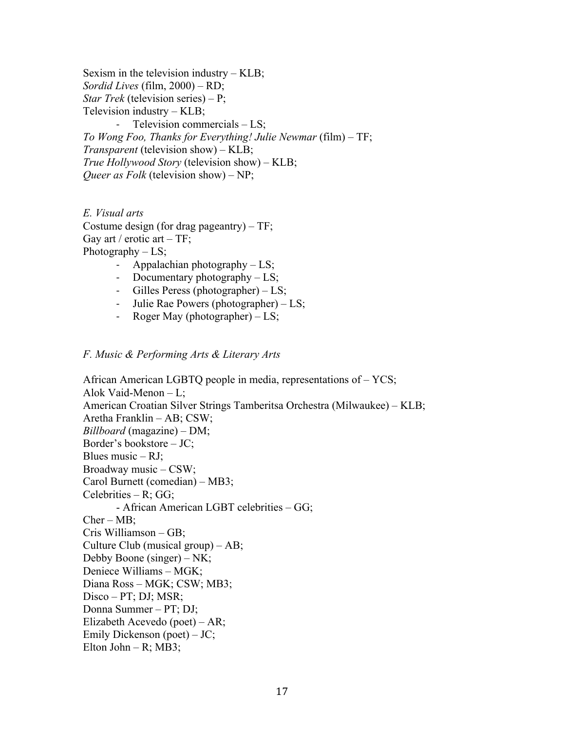Sexism in the television industry – KLB; *Sordid Lives* (film, 2000) – RD; *Star Trek* (television series) – P; Television industry – KLB; Television commercials  $-$  LS; *To Wong Foo, Thanks for Everything! Julie Newmar* (film) – TF; *Transparent* (television show) – KLB; *True Hollywood Story* (television show) – KLB; *Queer as Folk* (television show) – NP;

*E. Visual arts*  Costume design (for drag pageantry) – TF; Gay art / erotic art –  $TF$ ; Photography  $-$  LS;

- Appalachian photography  $-$  LS;
- Documentary photography LS;
- Gilles Peress (photographer) LS;
- Julie Rae Powers (photographer) LS;
- Roger May (photographer) LS;

#### *F. Music & Performing Arts & Literary Arts*

African American LGBTQ people in media, representations of – YCS; Alok Vaid-Menon – L; American Croatian Silver Strings Tamberitsa Orchestra (Milwaukee) – KLB; Aretha Franklin – AB; CSW; *Billboard* (magazine) – DM; Border's bookstore – JC; Blues music – RJ; Broadway music – CSW; Carol Burnett (comedian) – MB3; Celebrities – R; GG; - African American LGBT celebrities – GG;  $Cher - MB$ ; Cris Williamson – GB; Culture Club (musical group) – AB; Debby Boone (singer) – NK; Deniece Williams – MGK; Diana Ross – MGK; CSW; MB3; Disco – PT; DJ; MSR; Donna Summer – PT; DJ; Elizabeth Acevedo (poet) – AR; Emily Dickenson (poet) – JC; Elton John – R; MB3;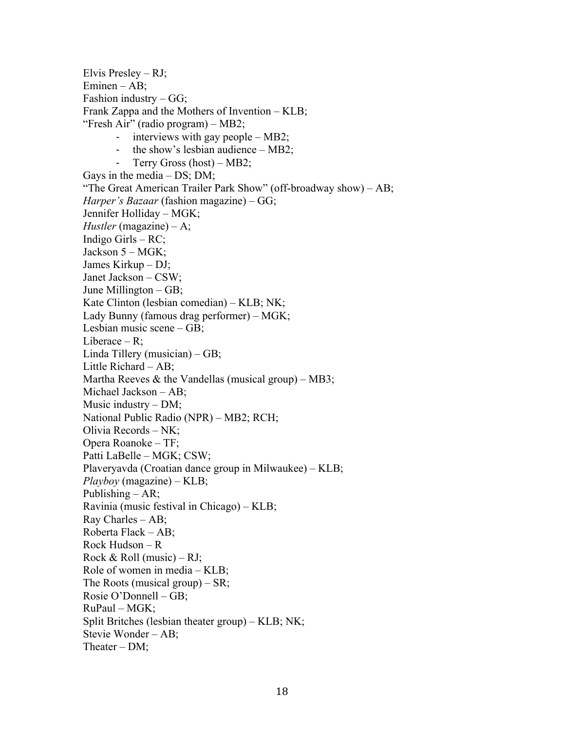Elvis Presley – RJ; Eminen – AB; Fashion industry  $-GG$ ; Frank Zappa and the Mothers of Invention – KLB; "Fresh Air" (radio program) – MB2; - interviews with gay people – MB2; - the show's lesbian audience – MB2; - Terry Gross (host) – MB2; Gays in the media – DS; DM; "The Great American Trailer Park Show" (off-broadway show) – AB; *Harper's Bazaar* (fashion magazine) – GG; Jennifer Holliday – MGK; *Hustler* (magazine) – A; Indigo Girls – RC; Jackson 5 – MGK; James Kirkup – DJ; Janet Jackson – CSW; June Millington – GB; Kate Clinton (lesbian comedian) – KLB; NK; Lady Bunny (famous drag performer) – MGK; Lesbian music scene – GB; Liberace – R; Linda Tillery (musician) – GB; Little Richard – AB; Martha Reeves & the Vandellas (musical group) – MB3; Michael Jackson – AB; Music industry – DM; National Public Radio (NPR) – MB2; RCH; Olivia Records – NK; Opera Roanoke – TF; Patti LaBelle – MGK; CSW; Plaveryavda (Croatian dance group in Milwaukee) – KLB; *Playboy* (magazine) – KLB; Publishing – AR; Ravinia (music festival in Chicago) – KLB; Ray Charles – AB; Roberta Flack – AB; Rock Hudson – R Rock & Roll (music) – RJ; Role of women in media – KLB; The Roots (musical group) – SR; Rosie O'Donnell – GB; RuPaul – MGK; Split Britches (lesbian theater group) – KLB; NK; Stevie Wonder – AB; Theater – DM;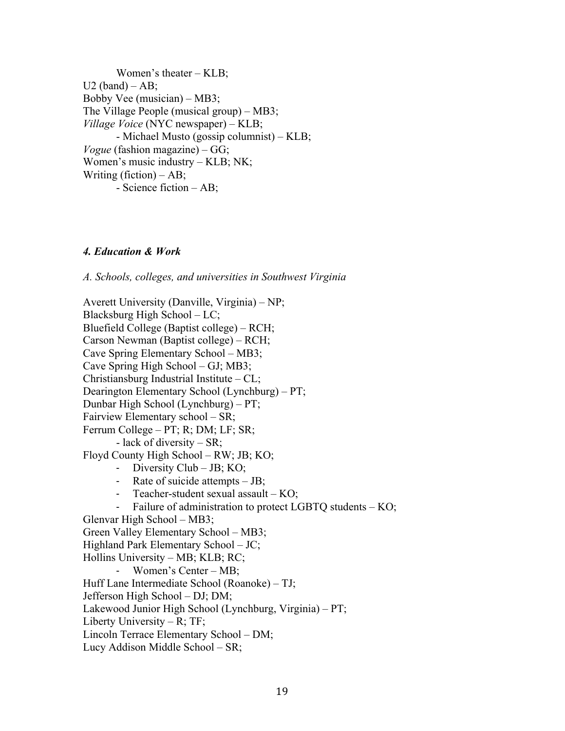Women's theater – KLB;  $U2$  (band) – AB; Bobby Vee (musician) – MB3; The Village People (musical group) – MB3; *Village Voice* (NYC newspaper) – KLB; - Michael Musto (gossip columnist) – KLB; *Vogue* (fashion magazine) – GG; Women's music industry – KLB; NK; Writing (fiction)  $-AB$ ; - Science fiction – AB;

### *4. Education & Work*

*A. Schools, colleges, and universities in Southwest Virginia*

Averett University (Danville, Virginia) – NP; Blacksburg High School – LC; Bluefield College (Baptist college) – RCH; Carson Newman (Baptist college) – RCH; Cave Spring Elementary School – MB3; Cave Spring High School – GJ; MB3; Christiansburg Industrial Institute – CL; Dearington Elementary School (Lynchburg) – PT; Dunbar High School (Lynchburg) – PT; Fairview Elementary school – SR; Ferrum College – PT; R; DM; LF; SR; - lack of diversity – SR; Floyd County High School – RW; JB; KO; - Diversity Club – JB; KO; - Rate of suicide attempts – JB; - Teacher-student sexual assault – KO; Failure of administration to protect LGBTQ students  $-$  KO; Glenvar High School – MB3; Green Valley Elementary School – MB3; Highland Park Elementary School – JC; Hollins University – MB; KLB; RC; - Women's Center – MB; Huff Lane Intermediate School (Roanoke) – TJ; Jefferson High School – DJ; DM; Lakewood Junior High School (Lynchburg, Virginia) – PT; Liberty University – R; TF; Lincoln Terrace Elementary School – DM; Lucy Addison Middle School – SR;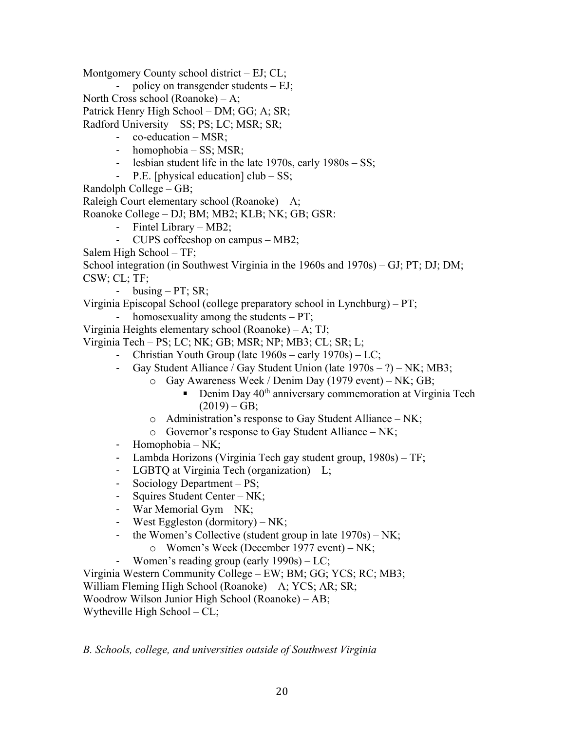Montgomery County school district – EJ; CL;

policy on transgender students  $- EJ$ ;

North Cross school (Roanoke) – A;

Patrick Henry High School – DM; GG; A; SR;

Radford University – SS; PS; LC; MSR; SR;

- co-education MSR;
- homophobia SS; MSR;
- lesbian student life in the late 1970s, early 1980s SS;
- P.E. [physical education] club SS;
- Randolph College GB;

Raleigh Court elementary school (Roanoke) – A;

Roanoke College – DJ; BM; MB2; KLB; NK; GB; GSR:

- Fintel Library MB2;
- CUPS coffeeshop on campus MB2;
- Salem High School TF;

School integration (in Southwest Virginia in the 1960s and 1970s) – GJ; PT; DJ; DM; CSW; CL; TF;

- busing  $- PT$ ; SR;

Virginia Episcopal School (college preparatory school in Lynchburg) – PT;

homosexuality among the students  $- PT$ ;

Virginia Heights elementary school (Roanoke) – A; TJ;

Virginia Tech – PS; LC; NK; GB; MSR; NP; MB3; CL; SR; L;

- Christian Youth Group (late 1960s early 1970s) LC;
	- Gay Student Alliance / Gay Student Union (late  $1970s ?$ ) NK; MB3;
		- o Gay Awareness Week / Denim Day (1979 event) NK; GB;
			- Denim Day  $40<sup>th</sup>$  anniversary commemoration at Virginia Tech  $(2019) - GB;$
		- o Administration's response to Gay Student Alliance NK;
		- $\circ$  Governor's response to Gay Student Alliance NK;
	- Homophobia NK;
	- Lambda Horizons (Virginia Tech gay student group, 1980s) TF;
	- LGBTQ at Virginia Tech (organization) L;
	- Sociology Department PS;
	- Squires Student Center NK;
	- War Memorial Gym NK;
	- West Eggleston (dormitory) NK;
	- the Women's Collective (student group in late 1970s) NK; o Women's Week (December 1977 event) – NK;
	- Women's reading group (early 1990s) LC;

Virginia Western Community College – EW; BM; GG; YCS; RC; MB3; William Fleming High School (Roanoke) – A; YCS; AR; SR; Woodrow Wilson Junior High School (Roanoke) – AB; Wytheville High School – CL;

*B. Schools, college, and universities outside of Southwest Virginia*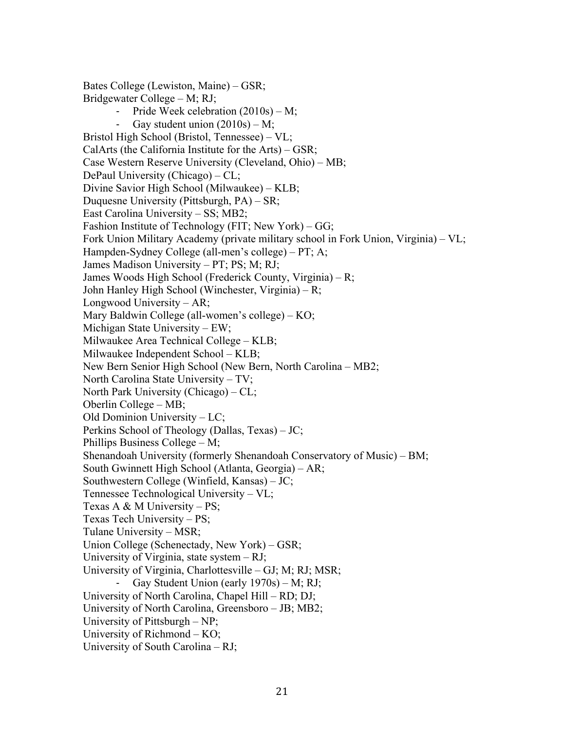Bates College (Lewiston, Maine) – GSR; Bridgewater College – M; RJ; Pride Week celebration  $(2010s) - M$ ; - Gay student union  $(2010s) - M$ ; Bristol High School (Bristol, Tennessee) – VL; CalArts (the California Institute for the Arts) – GSR; Case Western Reserve University (Cleveland, Ohio) – MB; DePaul University (Chicago) – CL; Divine Savior High School (Milwaukee) – KLB; Duquesne University (Pittsburgh, PA) – SR; East Carolina University – SS; MB2; Fashion Institute of Technology (FIT; New York) – GG; Fork Union Military Academy (private military school in Fork Union, Virginia) – VL; Hampden-Sydney College (all-men's college) – PT; A; James Madison University – PT; PS; M; RJ; James Woods High School (Frederick County, Virginia) – R; John Hanley High School (Winchester, Virginia) – R; Longwood University – AR; Mary Baldwin College (all-women's college) – KO; Michigan State University – EW; Milwaukee Area Technical College – KLB; Milwaukee Independent School – KLB; New Bern Senior High School (New Bern, North Carolina – MB2; North Carolina State University – TV; North Park University (Chicago) – CL; Oberlin College – MB; Old Dominion University – LC; Perkins School of Theology (Dallas, Texas) – JC; Phillips Business College – M; Shenandoah University (formerly Shenandoah Conservatory of Music) – BM; South Gwinnett High School (Atlanta, Georgia) – AR; Southwestern College (Winfield, Kansas) – JC; Tennessee Technological University – VL; Texas A & M University – PS; Texas Tech University – PS; Tulane University – MSR; Union College (Schenectady, New York) – GSR; University of Virginia, state system – RJ; University of Virginia, Charlottesville – GJ; M; RJ; MSR; Gay Student Union (early  $1970s$ ) – M; RJ; University of North Carolina, Chapel Hill – RD; DJ; University of North Carolina, Greensboro – JB; MB2; University of Pittsburgh – NP; University of Richmond – KO; University of South Carolina – RJ;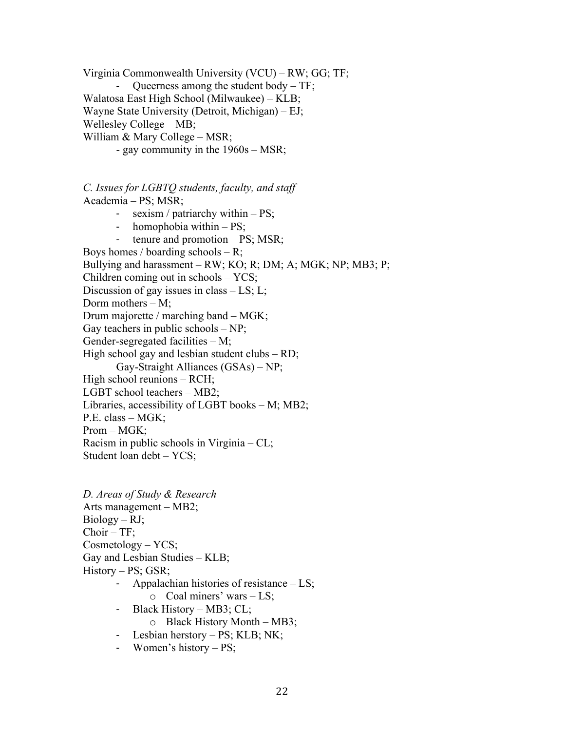Virginia Commonwealth University (VCU) – RW; GG; TF; Queerness among the student body  $-$  TF; Walatosa East High School (Milwaukee) – KLB; Wayne State University (Detroit, Michigan) – EJ; Wellesley College – MB; William & Mary College – MSR; - gay community in the 1960s – MSR;

*C. Issues for LGBTQ students, faculty, and staff* Academia – PS; MSR; - sexism / patriarchy within – PS;

- homophobia within PS;
- tenure and promotion  $PS$ ; MSR;

Boys homes / boarding schools  $- R$ ; Bullying and harassment – RW; KO; R; DM; A; MGK; NP; MB3; P; Children coming out in schools – YCS; Discussion of gay issues in class – LS; L; Dorm mothers  $- M$ ; Drum majorette / marching band – MGK; Gay teachers in public schools  $- NP$ ; Gender-segregated facilities – M; High school gay and lesbian student clubs – RD; Gay-Straight Alliances (GSAs) – NP; High school reunions – RCH; LGBT school teachers – MB2; Libraries, accessibility of LGBT books – M; MB2; P.E. class – MGK; Prom – MGK; Racism in public schools in Virginia – CL; Student loan debt – YCS;

*D. Areas of Study & Research* Arts management – MB2;  $Biology - RJ;$ Choir – TF; Cosmetology – YCS; Gay and Lesbian Studies – KLB; History – PS; GSR;

- Appalachian histories of resistance  $-$  LS;
	- $\circ$  Coal miners' wars LS;
- Black History MB3; CL;
	- o Black History Month MB3;
- Lesbian herstory PS; KLB; NK;
- Women's history PS;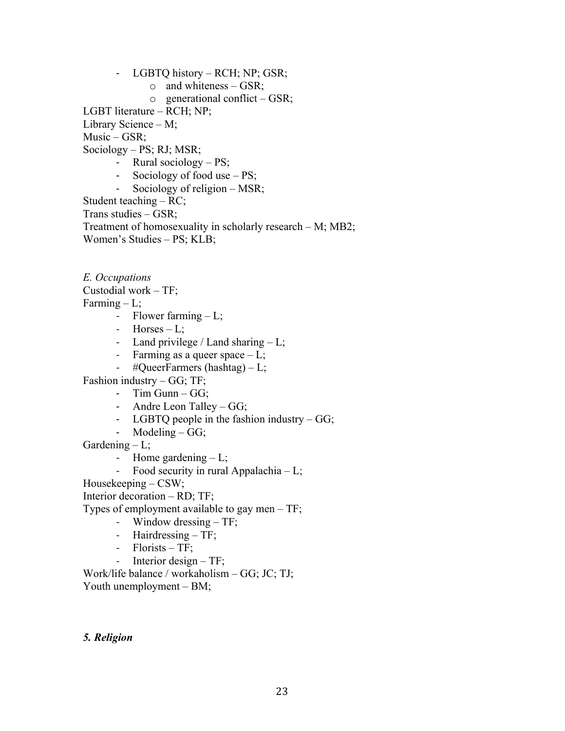- LGBTQ history RCH; NP; GSR;
	- o and whiteness GSR;
	- $\circ$  generational conflict GSR;

LGBT literature – RCH; NP;

Library Science – M;

Music – GSR;

Sociology – PS; RJ; MSR;

- Rural sociology PS;
- Sociology of food use PS;
- Sociology of religion MSR;

Student teaching – RC;

Trans studies – GSR;

Treatment of homosexuality in scholarly research – M; MB2;

Women's Studies – PS; KLB;

*E. Occupations* Custodial work – TF; Farming  $-L;$ 

- Flower farming  $-L$ ;
- $-$  Horses  $-$  L;
- Land privilege / Land sharing L;
- Farming as a queer space  $-L$ ;
- #QueerFarmers (hashtag) L;

Fashion industry – GG; TF;

- Tim Gunn  $GG$ ;
- Andre Leon Talley GG;
- LGBTQ people in the fashion industry GG;
- Modeling GG;
- Gardening  $-L$ ;
	- Home gardening  $-L$ ;
	- Food security in rural Appalachia L;
- Housekeeping CSW;

Interior decoration – RD; TF;

Types of employment available to gay men – TF;

- Window dressing TF;
- Hairdressing TF;
- Florists TF;
- Interior design TF;

Work/life balance / workaholism – GG; JC; TJ; Youth unemployment – BM;

*5. Religion*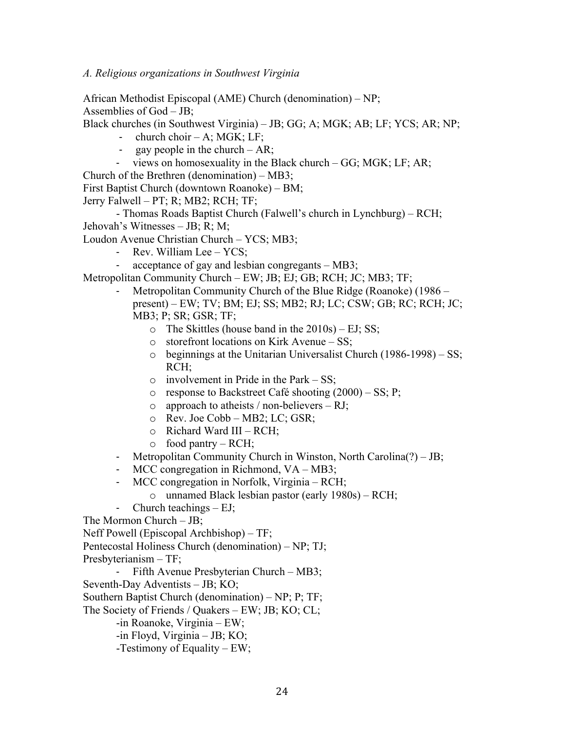African Methodist Episcopal (AME) Church (denomination) – NP; Assemblies of God – JB;

Black churches (in Southwest Virginia) – JB; GG; A; MGK; AB; LF; YCS; AR; NP;

- $\chi$ church choir A; MGK; LF;
- gay people in the church  $AR$ ;
- views on homosexuality in the Black church GG; MGK; LF; AR;

Church of the Brethren (denomination) – MB3;

First Baptist Church (downtown Roanoke) – BM;

Jerry Falwell – PT; R; MB2; RCH; TF;

- Thomas Roads Baptist Church (Falwell's church in Lynchburg) – RCH; Jehovah's Witnesses – JB; R; M;

Loudon Avenue Christian Church – YCS; MB3;

- Rev. William Lee YCS;
- acceptance of gay and lesbian congregants MB3;

Metropolitan Community Church – EW; JB; EJ; GB; RCH; JC; MB3; TF;

- Metropolitan Community Church of the Blue Ridge (Roanoke) (1986 present) – EW; TV; BM; EJ; SS; MB2; RJ; LC; CSW; GB; RC; RCH; JC; MB3; P; SR; GSR; TF;
	- $\circ$  The Skittles (house band in the 2010s) EJ; SS;
	- o storefront locations on Kirk Avenue SS;
	- o beginnings at the Unitarian Universalist Church (1986-1998) SS; RCH;
	- $\circ$  involvement in Pride in the Park SS;
	- $\circ$  response to Backstreet Café shooting (2000) SS; P;
	- $\circ$  approach to atheists / non-believers RJ;
	- o Rev. Joe Cobb MB2; LC; GSR;
	- $\circ$  Richard Ward III RCH;
	- o food pantry RCH;
- Metropolitan Community Church in Winston, North Carolina(?) JB;
- MCC congregation in Richmond, VA MB3;
- MCC congregation in Norfolk, Virginia RCH;
	- o unnamed Black lesbian pastor (early 1980s) RCH;
- Church teachings EJ;
- The Mormon Church JB;
- Neff Powell (Episcopal Archbishop) TF;
- Pentecostal Holiness Church (denomination) NP; TJ;
- Presbyterianism TF;
	- Fifth Avenue Presbyterian Church MB3;
- Seventh-Day Adventists JB; KO;
- Southern Baptist Church (denomination) NP; P; TF;
- The Society of Friends / Quakers EW; JB; KO; CL;

-in Roanoke, Virginia – EW;

-in Floyd, Virginia – JB; KO;

-Testimony of Equality – EW;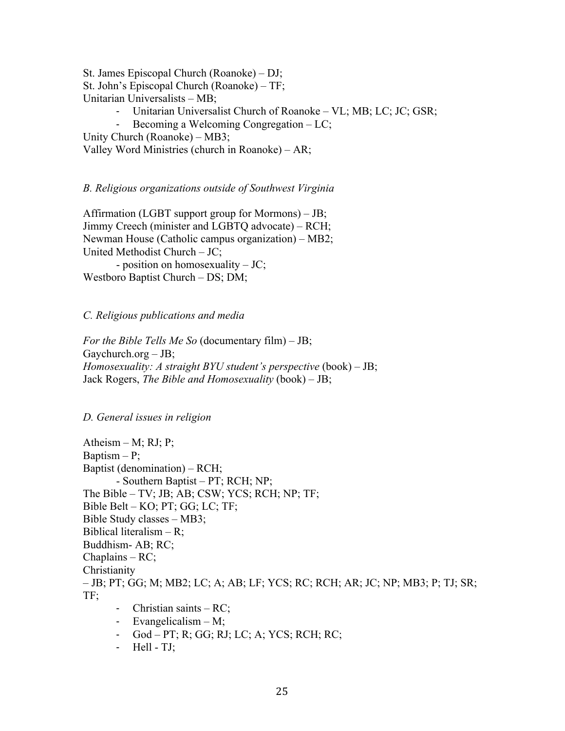St. James Episcopal Church (Roanoke) – DJ; St. John's Episcopal Church (Roanoke) – TF; Unitarian Universalists – MB; - Unitarian Universalist Church of Roanoke – VL; MB; LC; JC; GSR;

- Becoming a Welcoming Congregation – LC;

Unity Church (Roanoke) – MB3;

Valley Word Ministries (church in Roanoke) – AR;

*B. Religious organizations outside of Southwest Virginia*

Affirmation (LGBT support group for Mormons) – JB; Jimmy Creech (minister and LGBTQ advocate) – RCH; Newman House (Catholic campus organization) – MB2; United Methodist Church – JC; - position on homosexuality – JC; Westboro Baptist Church – DS; DM;

*C. Religious publications and media*

*For the Bible Tells Me So* (documentary film) – JB; Gaychurch.org  $-$  JB; *Homosexuality: A straight BYU student's perspective* (book) – JB; Jack Rogers, *The Bible and Homosexuality* (book) – JB;

## *D. General issues in religion*

Atheism  $- M$ ; RJ; P; Baptism  $- P$ ; Baptist (denomination) – RCH; - Southern Baptist – PT; RCH; NP; The Bible – TV; JB; AB; CSW; YCS; RCH; NP; TF; Bible Belt – KO; PT; GG; LC; TF; Bible Study classes – MB3; Biblical literalism  $- R$ ; Buddhism- AB; RC; Chaplains – RC; Christianity – JB; PT; GG; M; MB2; LC; A; AB; LF; YCS; RC; RCH; AR; JC; NP; MB3; P; TJ; SR; TF; - Christian saints – RC; - Evangelicalism – M;

- God PT; R; GG; RJ; LC; A; YCS; RCH; RC;
- Hell TJ;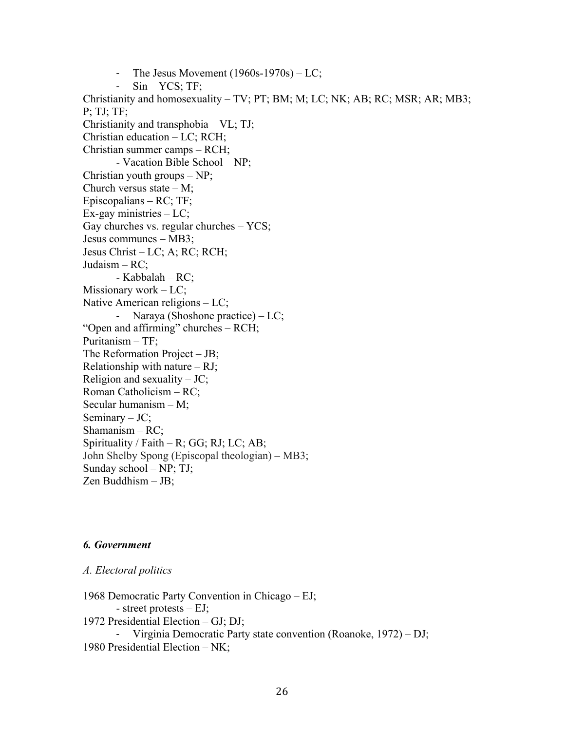- The Jesus Movement (1960s-1970s) – LC;  $Sin - YCS$ ; TF; Christianity and homosexuality – TV; PT; BM; M; LC; NK; AB; RC; MSR; AR; MB3; P; TJ; TF; Christianity and transphobia – VL; TJ; Christian education – LC; RCH; Christian summer camps – RCH; - Vacation Bible School – NP; Christian youth groups – NP; Church versus state  $- M$ ; Episcopalians – RC; TF;  $Ex$ -gay ministries  $- LC$ ; Gay churches vs. regular churches – YCS; Jesus communes – MB3; Jesus Christ – LC; A; RC; RCH; Judaism – RC; - Kabbalah – RC; Missionary work – LC; Native American religions – LC; - Naraya (Shoshone practice) – LC; "Open and affirming" churches – RCH; Puritanism – TF; The Reformation Project – JB; Relationship with nature  $- RI$ ; Religion and sexuality  $-JC$ ; Roman Catholicism – RC; Secular humanism – M; Seminary  $-JC$ ; Shamanism – RC; Spirituality / Faith – R; GG; RJ; LC; AB; John Shelby Spong (Episcopal theologian) – MB3; Sunday school – NP; TJ; Zen Buddhism – JB;

## *6. Government*

#### *A. Electoral politics*

1968 Democratic Party Convention in Chicago – EJ; - street protests – EJ; 1972 Presidential Election – GJ; DJ; - Virginia Democratic Party state convention (Roanoke, 1972) – DJ; 1980 Presidential Election – NK;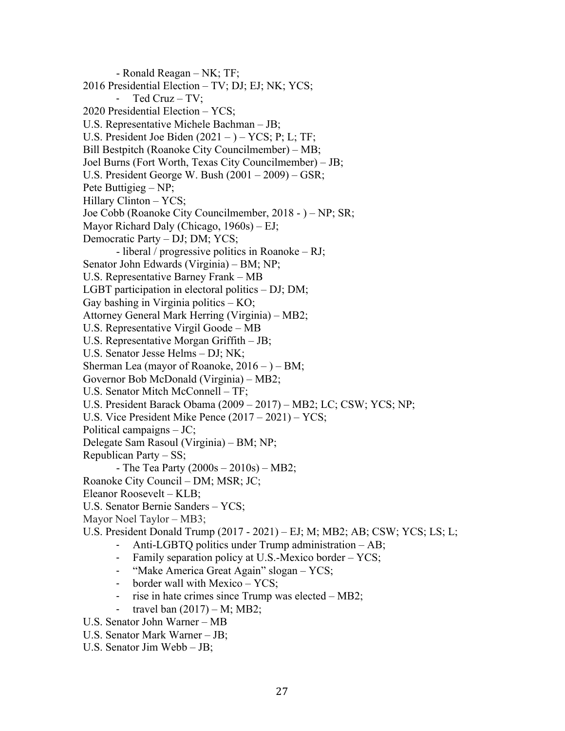- Ronald Reagan – NK; TF; 2016 Presidential Election – TV; DJ; EJ; NK; YCS; - Ted Cruz – TV; 2020 Presidential Election – YCS; U.S. Representative Michele Bachman – JB; U.S. President Joe Biden  $(2021 -) - YCS$ ; P; L; TF; Bill Bestpitch (Roanoke City Councilmember) – MB; Joel Burns (Fort Worth, Texas City Councilmember) – JB; U.S. President George W. Bush (2001 – 2009) – GSR; Pete Buttigieg – NP; Hillary Clinton – YCS; Joe Cobb (Roanoke City Councilmember, 2018 - ) – NP; SR; Mayor Richard Daly (Chicago, 1960s) – EJ; Democratic Party – DJ; DM; YCS; - liberal / progressive politics in Roanoke – RJ; Senator John Edwards (Virginia) – BM; NP; U.S. Representative Barney Frank – MB LGBT participation in electoral politics – DJ; DM; Gay bashing in Virginia politics – KO; Attorney General Mark Herring (Virginia) – MB2; U.S. Representative Virgil Goode – MB U.S. Representative Morgan Griffith – JB; U.S. Senator Jesse Helms – DJ; NK; Sherman Lea (mayor of Roanoke,  $2016 - (-1)$  BM; Governor Bob McDonald (Virginia) – MB2; U.S. Senator Mitch McConnell – TF; U.S. President Barack Obama (2009 – 2017) – MB2; LC; CSW; YCS; NP; U.S. Vice President Mike Pence (2017 – 2021) – YCS; Political campaigns – JC; Delegate Sam Rasoul (Virginia) – BM; NP; Republican Party – SS; - The Tea Party  $(2000s - 2010s) - MB2$ ; Roanoke City Council – DM; MSR; JC; Eleanor Roosevelt – KLB; U.S. Senator Bernie Sanders – YCS; Mayor Noel Taylor – MB3; U.S. President Donald Trump (2017 - 2021) – EJ; M; MB2; AB; CSW; YCS; LS; L; - Anti-LGBTQ politics under Trump administration – AB; - Family separation policy at U.S.-Mexico border – YCS; - "Make America Great Again" slogan – YCS; - border wall with Mexico – YCS; - rise in hate crimes since Trump was elected – MB2; - travel ban  $(2017) - M$ ; MB2;

- U.S. Senator John Warner MB
- U.S. Senator Mark Warner JB;
- U.S. Senator Jim Webb JB;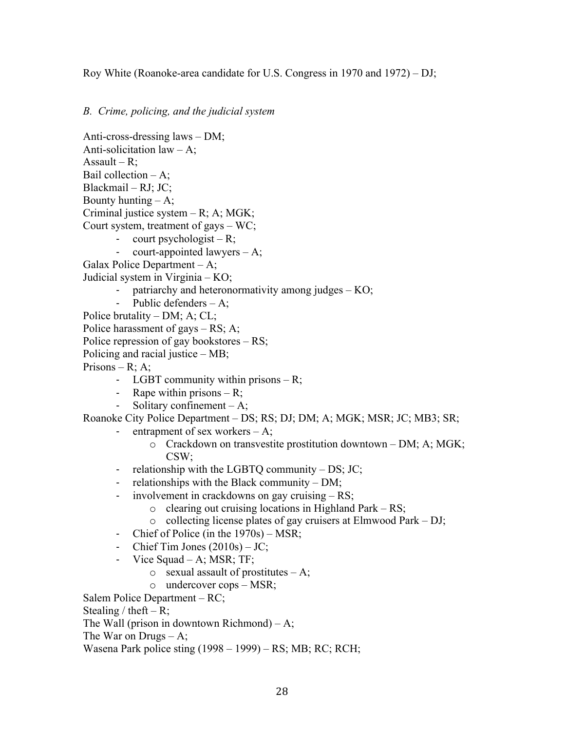Roy White (Roanoke-area candidate for U.S. Congress in 1970 and 1972) – DJ;

*B. Crime, policing, and the judicial system*

Anti-cross-dressing laws – DM; Anti-solicitation law  $- A$ ; Assault –  $R$ ; Bail collection  $-A$ ; Blackmail – RJ; JC; Bounty hunting  $-A$ ; Criminal justice system – R; A; MGK; Court system, treatment of gays – WC; - court psychologist – R;

court-appointed lawyers  $- A$ ;

Galax Police Department – A;

Judicial system in Virginia – KO;

- patriarchy and heteronormativity among judges KO;
- Public defenders A;
- Police brutality DM; A; CL;
- Police harassment of gays RS; A;
- Police repression of gay bookstores RS;
- Policing and racial justice MB;
- Prisons R; A;
	- LGBT community within prisons R;
	- Rape within prisons  $-R$ ;
	- Solitary confinement  $-A$ ;

Roanoke City Police Department – DS; RS; DJ; DM; A; MGK; MSR; JC; MB3; SR;

- entrapment of sex workers  $-A$ ;
	- o Crackdown on transvestite prostitution downtown DM; A; MGK; CSW;
- relationship with the LGBTQ community DS; JC;
- relationships with the Black community DM;
- involvement in crackdowns on gay cruising RS;
	- $\circ$  clearing out cruising locations in Highland Park RS;
	- o collecting license plates of gay cruisers at Elmwood Park DJ;
- Chief of Police (in the 1970s) MSR;
- Chief Tim Jones  $(2010s) JC;$
- Vice Squad A; MSR; TF;
	- $\circ$  sexual assault of prostitutes A;
	- o undercover cops MSR;

Salem Police Department – RC;

Stealing / theft – R;

The Wall (prison in downtown Richmond)  $- A$ ;

The War on Drugs  $- A$ ;

Wasena Park police sting (1998 – 1999) – RS; MB; RC; RCH;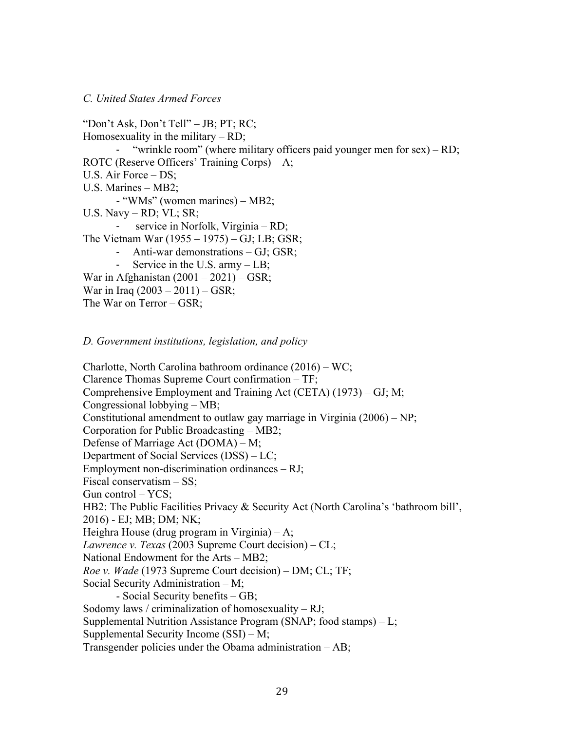#### *C. United States Armed Forces*

"Don't Ask, Don't Tell" – JB; PT; RC; Homosexuality in the military  $-$  RD; - "wrinkle room" (where military officers paid younger men for sex) – RD; ROTC (Reserve Officers' Training Corps) – A; U.S. Air Force – DS; U.S. Marines – MB2; - "WMs" (women marines) – MB2; U.S. Navy – RD; VL; SR; - service in Norfolk, Virginia – RD; The Vietnam War (1955 – 1975) – GJ; LB; GSR; Anti-war demonstrations – GJ; GSR; - Service in the U.S. army – LB; War in Afghanistan  $(2001 – 2021) – GSR;$ War in Iraq  $(2003 - 2011) - GSR$ ; The War on Terror – GSR;

*D. Government institutions, legislation, and policy*

Charlotte, North Carolina bathroom ordinance (2016) – WC; Clarence Thomas Supreme Court confirmation – TF; Comprehensive Employment and Training Act (CETA) (1973) – GJ; M; Congressional lobbying – MB; Constitutional amendment to outlaw gay marriage in Virginia  $(2006) - NP$ ; Corporation for Public Broadcasting – MB2; Defense of Marriage Act (DOMA) – M; Department of Social Services (DSS) – LC; Employment non-discrimination ordinances – RJ; Fiscal conservatism – SS; Gun control – YCS; HB2: The Public Facilities Privacy & Security Act (North Carolina's 'bathroom bill', 2016) - EJ; MB; DM; NK; Heighra House (drug program in Virginia) – A; *Lawrence v. Texas* (2003 Supreme Court decision) – CL; National Endowment for the Arts – MB2; *Roe v. Wade* (1973 Supreme Court decision) – DM; CL; TF; Social Security Administration – M; - Social Security benefits – GB; Sodomy laws / criminalization of homosexuality  $- RI$ ; Supplemental Nutrition Assistance Program (SNAP; food stamps) – L; Supplemental Security Income (SSI) – M; Transgender policies under the Obama administration – AB;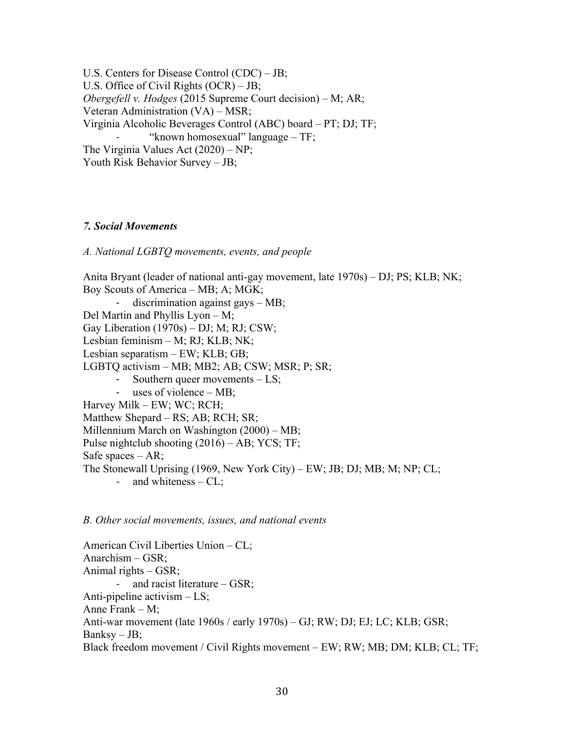U.S. Centers for Disease Control (CDC) – JB; U.S. Office of Civil Rights (OCR) – JB; *Obergefell v. Hodges* (2015 Supreme Court decision) – M; AR; Veteran Administration (VA) – MSR; Virginia Alcoholic Beverages Control (ABC) board – PT; DJ; TF; "known homosexual" language – TF; The Virginia Values Act (2020) – NP; Youth Risk Behavior Survey – JB;

### *7. Social Movements*

*A. National LGBTQ movements, events, and people*

Anita Bryant (leader of national anti-gay movement, late 1970s) – DJ; PS; KLB; NK; Boy Scouts of America – MB; A; MGK; discrimination against gays  $-MB$ ; Del Martin and Phyllis Lyon – M; Gay Liberation (1970s) – DJ; M; RJ; CSW; Lesbian feminism – M; RJ; KLB; NK; Lesbian separatism – EW; KLB; GB; LGBTQ activism – MB; MB2; AB; CSW; MSR; P; SR; - Southern queer movements – LS; - uses of violence – MB; Harvey Milk – EW; WC; RCH; Matthew Shepard – RS; AB; RCH; SR; Millennium March on Washington (2000) – MB; Pulse nightclub shooting (2016) – AB; YCS; TF; Safe spaces – AR; The Stonewall Uprising (1969, New York City) – EW; JB; DJ; MB; M; NP; CL; - and whiteness – CL;

*B. Other social movements, issues, and national events*

American Civil Liberties Union – CL; Anarchism – GSR; Animal rights – GSR; and racist literature  $-$  GSR; Anti-pipeline activism – LS; Anne Frank – M; Anti-war movement (late 1960s / early 1970s) – GJ; RW; DJ; EJ; LC; KLB; GSR;  $Banksy - JB;$ Black freedom movement / Civil Rights movement – EW; RW; MB; DM; KLB; CL; TF;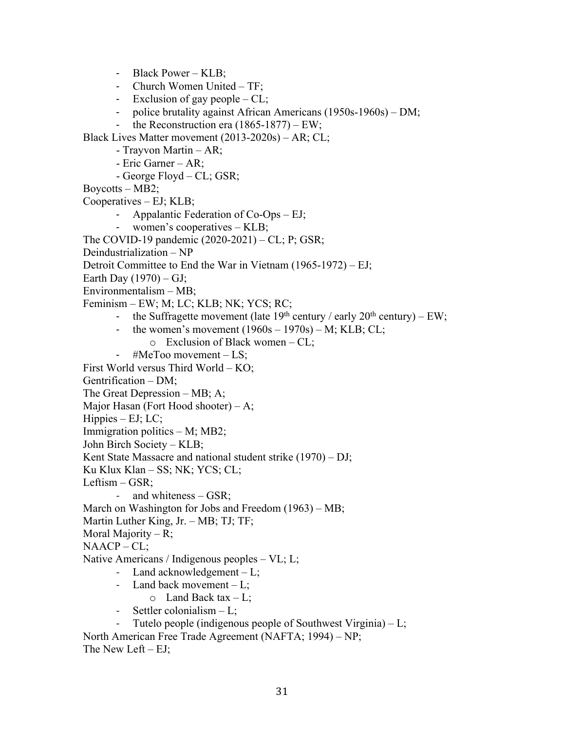- Black Power – KLB;

- Church Women United TF;
- Exclusion of gay people CL;
- police brutality against African Americans (1950s-1960s) DM;
- the Reconstruction era  $(1865-1877)$  EW;

Black Lives Matter movement (2013-2020s) – AR; CL;

- Trayvon Martin AR;
- Eric Garner AR;
- George Floyd CL; GSR;
- Boycotts MB2;

Cooperatives – EJ; KLB;

- Appalantic Federation of Co-Ops EJ;
- women's cooperatives KLB;
- The COVID-19 pandemic (2020-2021) CL; P; GSR;

Deindustrialization – NP

Detroit Committee to End the War in Vietnam (1965-1972) – EJ;

- Earth Day  $(1970) GJ$ ;
- Environmentalism MB;

Feminism – EW; M; LC; KLB; NK; YCS; RC;

- the Suffragette movement (late  $19^{th}$  century / early  $20^{th}$  century) EW;
- the women's movement  $(1960s 1970s) M$ ; KLB; CL;
	- $\circ$  Exclusion of Black women CL;
- #MeToo movement LS;

First World versus Third World – KO;

Gentrification – DM;

- The Great Depression MB; A;
- Major Hasan (Fort Hood shooter) A;
- $H$ ippies EJ; LC;
- Immigration politics M; MB2;

John Birch Society – KLB;

Kent State Massacre and national student strike (1970) – DJ;

Ku Klux Klan – SS; NK; YCS; CL;

- Leftism GSR;
	- and whiteness GSR;
- March on Washington for Jobs and Freedom (1963) MB;
- Martin Luther King, Jr. MB; TJ; TF;
- Moral Majority R;

```
NAACP - CL;
```
Native Americans / Indigenous peoples – VL; L;

- Land acknowledgement L;
- Land back movement  $-L$ ;
	- $\circ$  Land Back tax L;
- Settler colonialism L:

Tutelo people (indigenous people of Southwest Virginia)  $-L$ ;

North American Free Trade Agreement (NAFTA; 1994) – NP; The New Left  $- EJ$ ;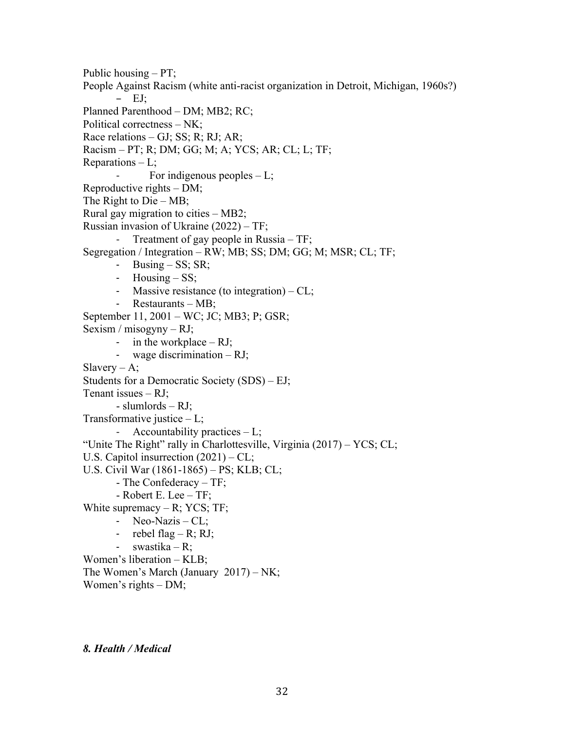Public housing – PT; People Against Racism (white anti-racist organization in Detroit, Michigan, 1960s?) – EJ; Planned Parenthood – DM; MB2; RC; Political correctness – NK; Race relations – GJ; SS; R; RJ; AR; Racism – PT; R; DM; GG; M; A; YCS; AR; CL; L; TF; Reparations  $-L$ ; For indigenous peoples  $-L$ ; Reproductive rights – DM; The Right to Die – MB; Rural gay migration to cities – MB2; Russian invasion of Ukraine (2022) – TF; Treatment of gay people in Russia - TF; Segregation / Integration – RW; MB; SS; DM; GG; M; MSR; CL; TF; - Busing – SS; SR; - Housing – SS; - Massive resistance (to integration) – CL; - Restaurants – MB; September 11, 2001 – WC; JC; MB3; P; GSR; Sexism / misogyny – RJ; - in the workplace  $- RI$ ; - wage discrimination – RJ; Slavery  $- A$ ; Students for a Democratic Society (SDS) – EJ; Tenant issues  $-RI$ ; - slumlords – RJ; Transformative justice  $-L;$ - Accountability practices – L; "Unite The Right" rally in Charlottesville, Virginia  $(2017) - \text{YCS}$ ; CL; U.S. Capitol insurrection (2021) – CL; U.S. Civil War (1861-1865) – PS; KLB; CL; - The Confederacy – TF; - Robert E. Lee – TF; White supremacy  $- R$ ; YCS; TF; - Neo-Nazis – CL; - rebel flag – R; RJ; - swastika – R; Women's liberation – KLB; The Women's March (January 2017) – NK; Women's rights – DM;

*8. Health / Medical*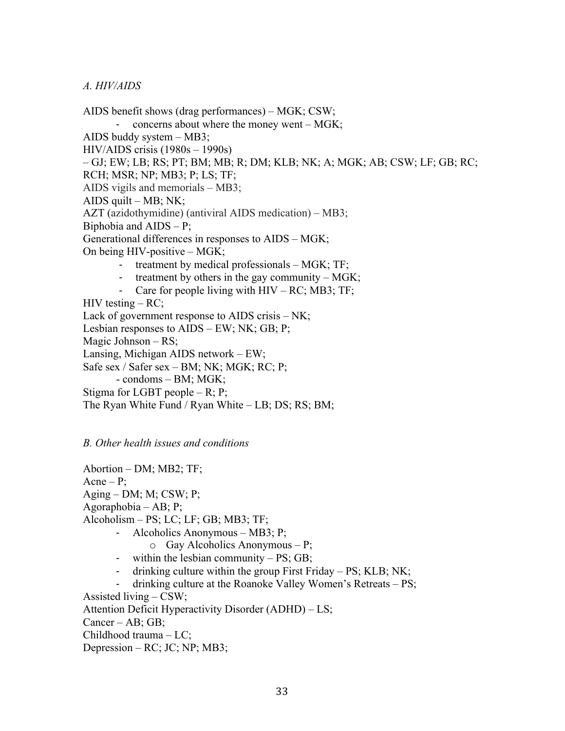### *A. HIV/AIDS*

AIDS benefit shows (drag performances) – MGK; CSW; - concerns about where the money went – MGK; AIDS buddy system – MB3; HIV/AIDS crisis (1980s – 1990s) – GJ; EW; LB; RS; PT; BM; MB; R; DM; KLB; NK; A; MGK; AB; CSW; LF; GB; RC; RCH; MSR; NP; MB3; P; LS; TF; AIDS vigils and memorials – MB3; AIDS quilt  $-MB$ ; NK; AZT (azidothymidine) (antiviral AIDS medication) – MB3; Biphobia and  $AIDS - P$ ; Generational differences in responses to AIDS – MGK; On being HIV-positive – MGK; - treatment by medical professionals – MGK; TF; treatment by others in the gay community –  $MGK$ ; Care for people living with  $HIV - RC$ ; MB3; TF;  $HIV$  testing  $- RC$ ; Lack of government response to AIDS crisis – NK; Lesbian responses to AIDS – EW; NK; GB; P; Magic Johnson – RS; Lansing, Michigan AIDS network – EW; Safe sex / Safer sex – BM; NK; MGK; RC; P; - condoms – BM; MGK; Stigma for LGBT people – R; P; The Ryan White Fund / Ryan White – LB; DS; RS; BM;

*B. Other health issues and conditions*

Abortion – DM; MB2; TF;  $A$ cne – P;  $Againg - DM; M; CSW; P;$ Agoraphobia – AB; P; Alcoholism – PS; LC; LF; GB; MB3; TF; - Alcoholics Anonymous – MB3; P;

- o Gay Alcoholics Anonymous P;
- within the lesbian community PS; GB;
- drinking culture within the group First Friday PS; KLB; NK;
- drinking culture at the Roanoke Valley Women's Retreats PS;

Assisted living – CSW;

Attention Deficit Hyperactivity Disorder (ADHD) – LS;

Cancer – AB; GB;

Childhood trauma – LC;

Depression – RC; JC; NP; MB3;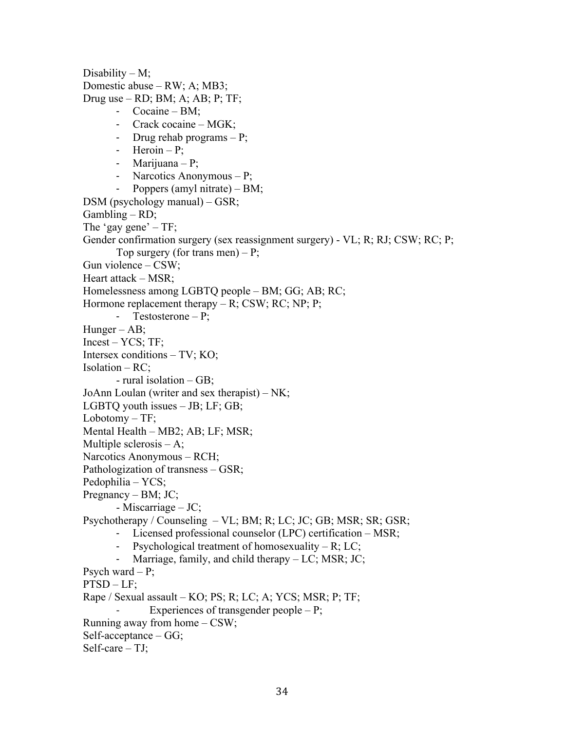Disability  $-M$ ; Domestic abuse – RW; A; MB3; Drug use  $-$  RD; BM; A; AB; P; TF; - Cocaine – BM; - Crack cocaine – MGK; - Drug rehab programs – P; - Heroin – P; - Marijuana – P; - Narcotics Anonymous – P; - Poppers (amyl nitrate) – BM; DSM (psychology manual) – GSR;  $Gambling - RD;$ The 'gay gene'  $-TF$ ; Gender confirmation surgery (sex reassignment surgery) - VL; R; RJ; CSW; RC; P; Top surgery (for trans men)  $- P$ ; Gun violence – CSW; Heart attack – MSR; Homelessness among LGBTQ people – BM; GG; AB; RC; Hormone replacement therapy  $- R$ ; CSW; RC; NP; P; - Testosterone – P; Hunger – AB; Incest – YCS; TF; Intersex conditions – TV; KO; Isolation – RC; - rural isolation – GB; JoAnn Loulan (writer and sex therapist) – NK; LGBTQ youth issues – JB; LF; GB; Lobotomy – TF; Mental Health – MB2; AB; LF; MSR; Multiple sclerosis – A; Narcotics Anonymous – RCH; Pathologization of transness – GSR; Pedophilia – YCS; Pregnancy – BM; JC; - Miscarriage – JC; Psychotherapy / Counseling – VL; BM; R; LC; JC; GB; MSR; SR; GSR; - Licensed professional counselor (LPC) certification – MSR; - Psychological treatment of homosexuality – R; LC; - Marriage, family, and child therapy – LC; MSR; JC; Psych ward  $- P$ ; PTSD – LF; Rape / Sexual assault – KO; PS; R; LC; A; YCS; MSR; P; TF; Experiences of transgender people  $- P$ ; Running away from home – CSW; Self-acceptance – GG; Self-care – TJ;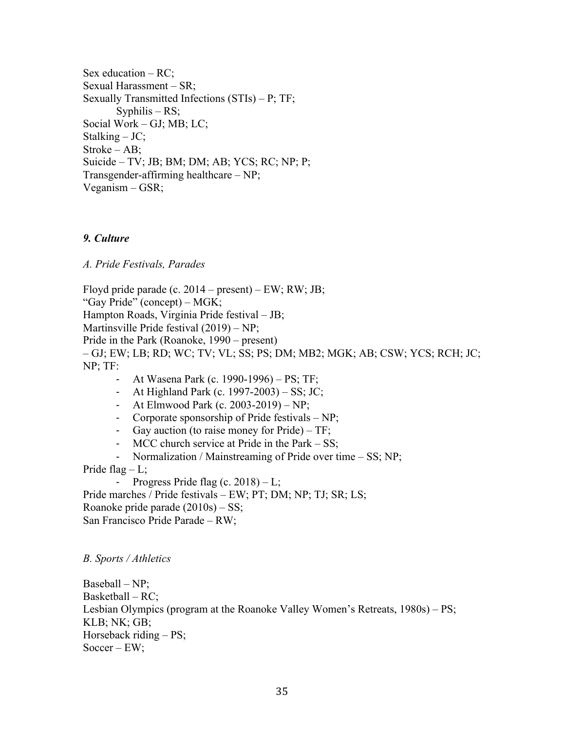Sex education – RC; Sexual Harassment – SR; Sexually Transmitted Infections (STIs) – P; TF; Syphilis – RS; Social Work – GJ; MB; LC; Stalking – JC; Stroke – AB; Suicide – TV; JB; BM; DM; AB; YCS; RC; NP; P; Transgender-affirming healthcare – NP; Veganism – GSR;

## *9. Culture*

*A. Pride Festivals, Parades*

Floyd pride parade (c.  $2014 - present$ ) – EW; RW; JB; "Gay Pride" (concept) – MGK; Hampton Roads, Virginia Pride festival – JB; Martinsville Pride festival (2019) – NP; Pride in the Park (Roanoke, 1990 – present) – GJ; EW; LB; RD; WC; TV; VL; SS; PS; DM; MB2; MGK; AB; CSW; YCS; RCH; JC; NP; TF:

- At Wasena Park (c. 1990-1996) PS; TF;
- At Highland Park (c. 1997-2003) SS; JC;
- At Elmwood Park (c. 2003-2019) NP;
- Corporate sponsorship of Pride festivals NP;
- Gay auction (to raise money for Pride) TF;
- MCC church service at Pride in the Park SS;
- Normalization / Mainstreaming of Pride over time SS; NP;

Pride flag  $-L$ ;

- Progress Pride flag (c.  $2018$ ) – L;

Pride marches / Pride festivals – EW; PT; DM; NP; TJ; SR; LS; Roanoke pride parade (2010s) – SS; San Francisco Pride Parade – RW;

## *B. Sports / Athletics*

Baseball – NP; Basketball – RC; Lesbian Olympics (program at the Roanoke Valley Women's Retreats, 1980s) – PS; KLB; NK; GB; Horseback riding – PS; Soccer – EW;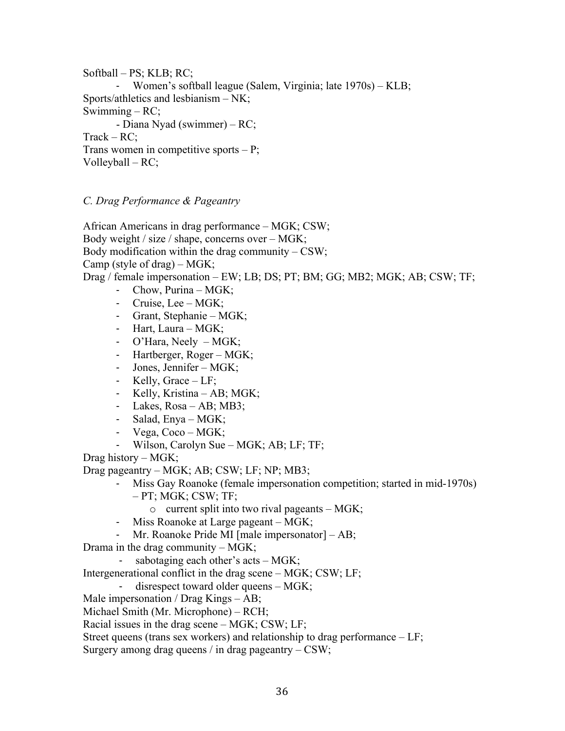Softball – PS; KLB; RC; Women's softball league (Salem, Virginia; late 1970s) – KLB; Sports/athletics and lesbianism – NK; Swimming – RC; - Diana Nyad (swimmer) – RC; Track – RC; Trans women in competitive sports  $- P$ ; Volleyball – RC;

*C. Drag Performance & Pageantry*

African Americans in drag performance – MGK; CSW; Body weight / size / shape, concerns over – MGK; Body modification within the drag community  $-$  CSW; Camp (style of drag) – MGK; Drag / female impersonation – EW; LB; DS; PT; BM; GG; MB2; MGK; AB; CSW; TF;

- Chow, Purina MGK;
- Cruise, Lee MGK;
- Grant, Stephanie MGK;
- Hart, Laura MGK;
- O'Hara, Neely MGK;
- Hartberger, Roger MGK;
- Jones, Jennifer MGK;
- Kelly, Grace LF;
- Kelly, Kristina AB; MGK;
- Lakes, Rosa AB; MB3;
- Salad, Enya MGK;
- Vega, Coco MGK;
- Wilson, Carolyn Sue MGK; AB; LF; TF;

Drag history – MGK;

Drag pageantry – MGK; AB; CSW; LF; NP; MB3;

- Miss Gay Roanoke (female impersonation competition; started in mid-1970s)
	- $PT$ ; MGK; CSW; TF;
		- $\circ$  current split into two rival pageants MGK;
- Miss Roanoke at Large pageant MGK;
- Mr. Roanoke Pride MI [male impersonator]  $AB$ ;
- Drama in the drag community MGK;
	- sabotaging each other's acts  $MGK$ ;
- Intergenerational conflict in the drag scene MGK; CSW; LF;
	- disrespect toward older queens  $-$  MGK;
- Male impersonation / Drag Kings AB;
- Michael Smith (Mr. Microphone) RCH;
- Racial issues in the drag scene MGK; CSW; LF;
- Street queens (trans sex workers) and relationship to drag performance LF;
- Surgery among drag queens / in drag pageantry CSW;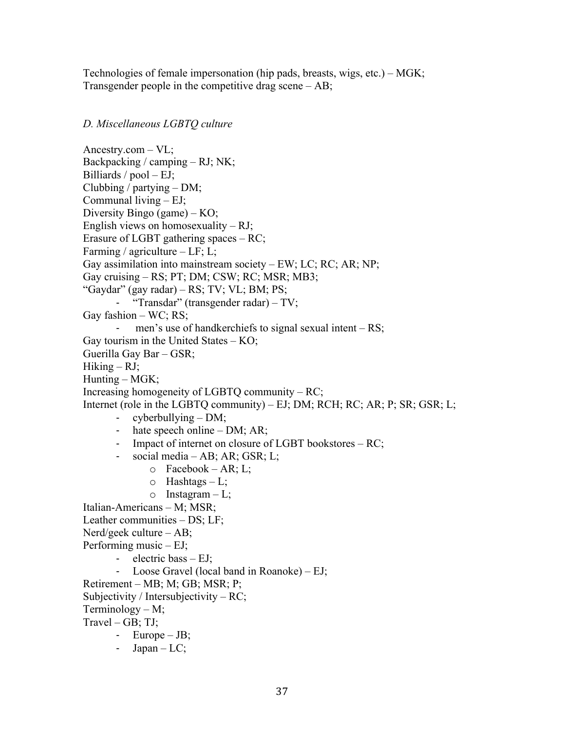Technologies of female impersonation (hip pads, breasts, wigs, etc.) – MGK; Transgender people in the competitive drag scene – AB;

## *D. Miscellaneous LGBTQ culture*

Ancestry.com – VL; Backpacking / camping – RJ; NK; Billiards  $/$  pool  $-$  EJ; Clubbing / partying  $- DM;$ Communal living – EJ; Diversity Bingo (game) – KO; English views on homosexuality – RJ; Erasure of LGBT gathering spaces – RC; Farming / agriculture  $-LF$ ; L; Gay assimilation into mainstream society – EW; LC; RC; AR; NP; Gay cruising – RS; PT; DM; CSW; RC; MSR; MB3; "Gaydar" (gay radar) – RS; TV; VL; BM; PS; - "Transdar" (transgender radar) – TV; Gay fashion – WC; RS; men's use of handkerchiefs to signal sexual intent  $- RS$ ; Gay tourism in the United States – KO; Guerilla Gay Bar – GSR;  $Hiking - RJ$ ; Hunting – MGK; Increasing homogeneity of LGBTQ community – RC; Internet (role in the LGBTQ community) – EJ; DM; RCH; RC; AR; P; SR; GSR; L; - cyberbullying – DM; - hate speech online – DM; AR; - Impact of internet on closure of LGBT bookstores – RC; - social media – AB; AR; GSR; L; o Facebook – AR; L;  $\circ$  Hashtags – L;  $\circ$  Instagram – L; Italian-Americans – M; MSR; Leather communities – DS; LF; Nerd/geek culture – AB; Performing music – EJ; - electric bass – EJ; - Loose Gravel (local band in Roanoke) – EJ; Retirement – MB; M; GB; MSR; P; Subjectivity / Intersubjectivity – RC; Terminology – M;  $Travel - GB; TJ;$ - Europe – JB; - Japan –  $LC$ ;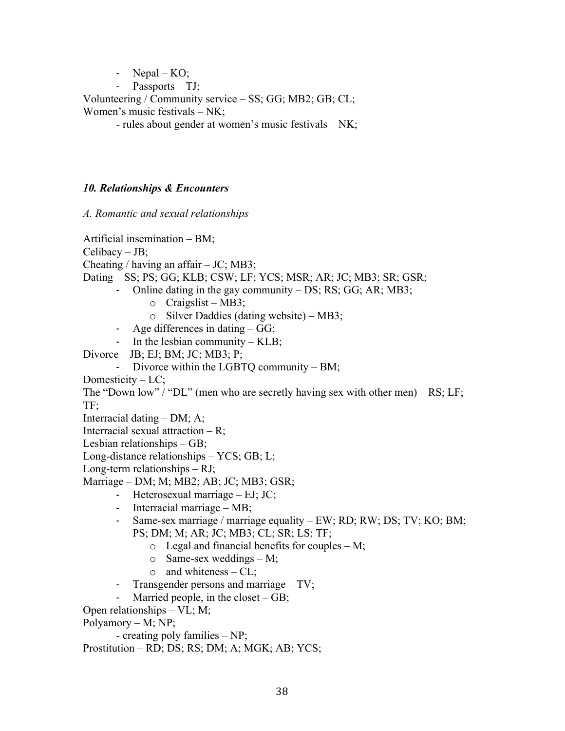- Nepal  $-KO$ ;

 $Passports - TJ;$ 

Volunteering / Community service – SS; GG; MB2; GB; CL; Women's music festivals – NK;

- rules about gender at women's music festivals – NK;

# *10. Relationships & Encounters*

*A. Romantic and sexual relationships*

Artificial insemination – BM; Celibacy – JB; Cheating / having an affair  $-$  JC; MB3; Dating – SS; PS; GG; KLB; CSW; LF; YCS; MSR; AR; JC; MB3; SR; GSR; Online dating in the gay community  $- DS$ ; RS; GG; AR; MB3;  $\circ$  Craigslist – MB3; o Silver Daddies (dating website) – MB3; - Age differences in dating – GG; - In the lesbian community – KLB; Divorce – JB; EJ; BM; JC; MB3; P; - Divorce within the LGBTQ community – BM; Domesticity – LC; The "Down low" / "DL" (men who are secretly having sex with other men) – RS; LF; TF; Interracial dating – DM; A; Interracial sexual attraction  $- R$ ; Lesbian relationships – GB; Long-distance relationships – YCS; GB; L; Long-term relationships – RJ;

Marriage – DM; M; MB2; AB; JC; MB3; GSR;

- Heterosexual marriage EJ; JC;
- Interracial marriage MB;
- Same-sex marriage / marriage equality EW; RD; RW; DS; TV; KO; BM; PS; DM; M; AR; JC; MB3; CL; SR; LS; TF;
	- $\circ$  Legal and financial benefits for couples M;
	- $\circ$  Same-sex weddings M;
	- $\circ$  and whiteness CL;
- Transgender persons and marriage TV;
- Married people, in the closet GB;

Open relationships – VL; M;

Polyamory – M; NP;

- creating poly families – NP;

Prostitution – RD; DS; RS; DM; A; MGK; AB; YCS;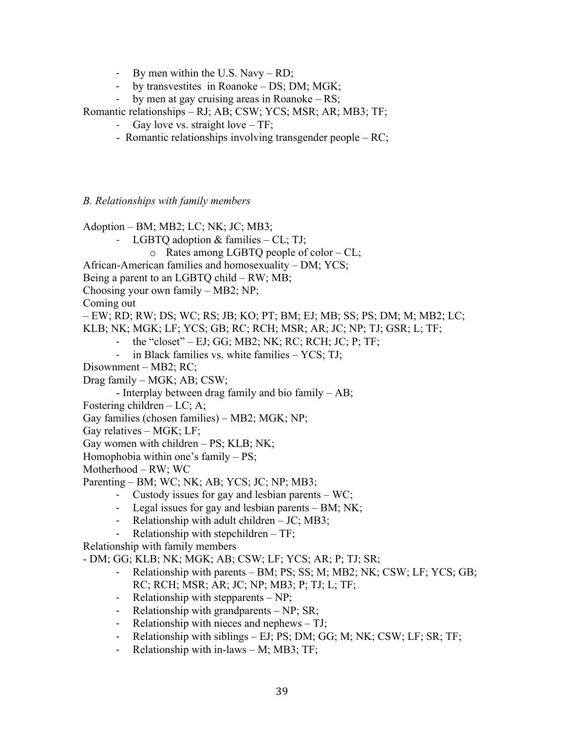- By men within the U.S. Navy RD;
- by transvestites in Roanoke DS; DM; MGK;
- by men at gay cruising areas in Roanoke RS;

Romantic relationships – RJ; AB; CSW; YCS; MSR; AR; MB3; TF;

- Gay love vs. straight love TF;
- Romantic relationships involving transgender people RC;

*B. Relationships with family members*

Adoption – BM; MB2; LC; NK; JC; MB3;

- LGBTO adoption  $&$  families CL; TJ;
	- o Rates among LGBTQ people of color CL;
- African-American families and homosexuality DM; YCS;
- Being a parent to an LGBTQ child RW; MB;
- Choosing your own family MB2; NP;

Coming out

– EW; RD; RW; DS; WC; RS; JB; KO; PT; BM; EJ; MB; SS; PS; DM; M; MB2; LC;

- KLB; NK; MGK; LF; YCS; GB; RC; RCH; MSR; AR; JC; NP; TJ; GSR; L; TF;
	- the "closet" EJ; GG; MB2; NK; RC; RCH; JC; P; TF;
	- in Black families vs. white families YCS; TJ;
- Disownment MB2; RC;

Drag family – MGK; AB; CSW;

- Interplay between drag family and bio family – AB;

- Fostering children LC; A;
- Gay families (chosen families) MB2; MGK; NP;

Gay relatives – MGK; LF;

Gay women with children – PS; KLB; NK;

Homophobia within one's family – PS;

Motherhood – RW; WC

Parenting – BM; WC; NK; AB; YCS; JC; NP; MB3;

- Custody issues for gay and lesbian parents WC;
- Legal issues for gay and lesbian parents BM; NK;
- Relationship with adult children JC; MB3;
- Relationship with stepchildren TF;

Relationship with family members

- DM; GG; KLB; NK; MGK; AB; CSW; LF; YCS; AR; P; TJ; SR;

- Relationship with parents BM; PS; SS; M; MB2; NK; CSW; LF; YCS; GB; RC; RCH; MSR; AR; JC; NP; MB3; P; TJ; L; TF;
- Relationship with stepparents NP;
- Relationship with grandparents NP; SR;
- Relationship with nieces and nephews TJ;
- Relationship with siblings EJ; PS; DM; GG; M; NK; CSW; LF; SR; TF;
- Relationship with in-laws M; MB3; TF;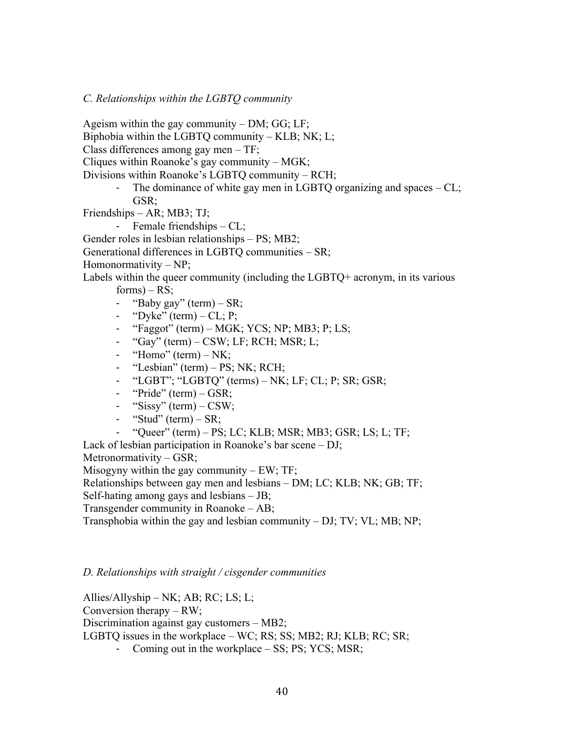*C. Relationships within the LGBTQ community*

Ageism within the gay community – DM; GG; LF;

Biphobia within the LGBTQ community – KLB; NK; L;

Class differences among gay men – TF;

Cliques within Roanoke's gay community – MGK;

Divisions within Roanoke's LGBTQ community – RCH;

- The dominance of white gay men in LGBTQ organizing and spaces – CL; GSR;

Friendships – AR; MB3; TJ;

- Female friendships – CL;

Gender roles in lesbian relationships – PS; MB2;

Generational differences in LGBTQ communities – SR;

Homonormativity – NP;

Labels within the queer community (including the LGBTQ+ acronym, in its various  $forms) - RS;$ 

- "Baby gay" (term)  $-SR$ ;
- "Dyke" (term) CL; P;
- "Faggot" (term) MGK; YCS; NP; MB3; P; LS;
- "Gay" (term) CSW; LF; RCH; MSR; L;
- "Homo" (term)  $-NK$ ;
- "Lesbian" (term) PS; NK; RCH;
- "LGBT"; "LGBTQ" (terms)  $-$  NK; LF; CL; P; SR; GSR;
- "Pride" (term) GSR;
- "Sissy" (term) CSW;
- "Stud" (term)  $-R$ ;
- $-$  "Oueer" (term) PS; LC; KLB; MSR; MB3; GSR; LS; L; TF;

Lack of lesbian participation in Roanoke's bar scene – DJ;

Metronormativity – GSR;

Misogyny within the gay community  $- EW$ ; TF;

Relationships between gay men and lesbians – DM; LC; KLB; NK; GB; TF;

Self-hating among gays and lesbians – JB;

Transgender community in Roanoke – AB;

Transphobia within the gay and lesbian community – DJ; TV; VL; MB; NP;

#### *D. Relationships with straight / cisgender communities*

Allies/Allyship – NK; AB; RC; LS; L; Conversion therapy – RW; Discrimination against gay customers – MB2; LGBTQ issues in the workplace – WC; RS; SS; MB2; RJ; KLB; RC; SR;

- Coming out in the workplace – SS; PS; YCS; MSR;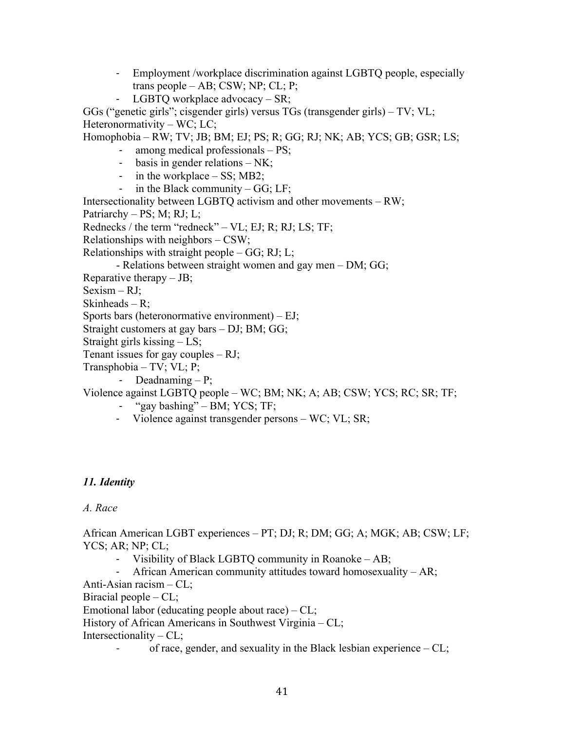- Employment /workplace discrimination against LGBTQ people, especially trans people – AB; CSW; NP; CL; P;
- LGBTQ workplace advocacy SR;

GGs ("genetic girls"; cisgender girls) versus TGs (transgender girls) – TV; VL; Heteronormativity – WC; LC;

Homophobia – RW; TV; JB; BM; EJ; PS; R; GG; RJ; NK; AB; YCS; GB; GSR; LS;

- among medical professionals  $PS$ ;
- basis in gender relations NK;
- in the workplace SS; MB2;
- in the Black community  $GG$ ; LF;

Intersectionality between LGBTQ activism and other movements – RW; Patriarchy – PS; M; RJ; L; Rednecks / the term "redneck" – VL; EJ; R; RJ; LS; TF;

Relationships with neighbors – CSW;

Relationships with straight people  $-GG$ ; RJ; L;

- Relations between straight women and gay men – DM; GG;

Reparative therapy  $-$  JB;

Sexism – RJ;

Skinheads – R;

Sports bars (heteronormative environment) – EJ;

Straight customers at gay bars – DJ; BM; GG;

Straight girls kissing – LS;

Tenant issues for gay couples  $- RI$ ;

Transphobia – TV; VL; P;

- Deadnaming – P;

## Violence against LGBTQ people – WC; BM; NK; A; AB; CSW; YCS; RC; SR; TF;

- "gay bashing" BM; YCS; TF;
- Violence against transgender persons WC; VL; SR;

# *11. Identity*

*A. Race*

African American LGBT experiences – PT; DJ; R; DM; GG; A; MGK; AB; CSW; LF; YCS; AR; NP; CL;

- Visibility of Black LGBTQ community in Roanoke AB;
- African American community attitudes toward homosexuality AR;

Anti-Asian racism – CL;

Biracial people  $-CL$ ;

Emotional labor (educating people about race) – CL;

History of African Americans in Southwest Virginia – CL;

Intersectionality –  $CL$ ;

of race, gender, and sexuality in the Black lesbian experience  $-CL$ ;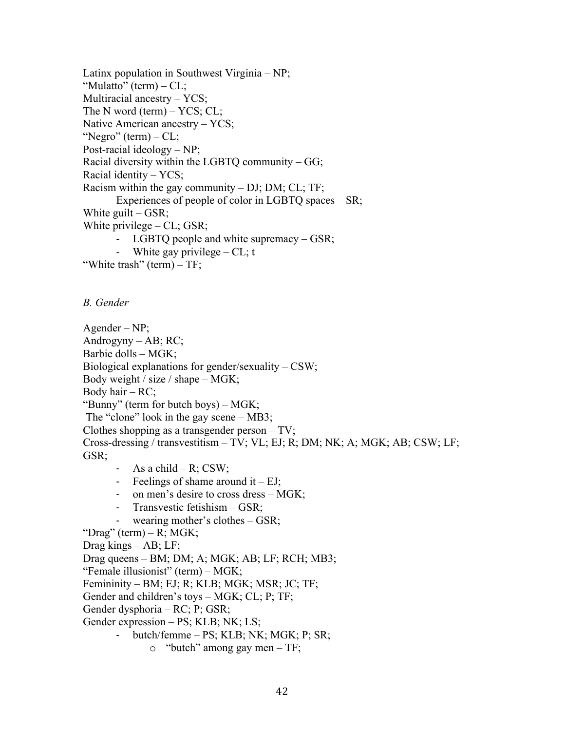Latinx population in Southwest Virginia – NP; "Mulatto" (term) – CL; Multiracial ancestry – YCS; The N word (term) – YCS; CL; Native American ancestry – YCS; "Negro" (term) – CL; Post-racial ideology – NP; Racial diversity within the LGBTQ community – GG; Racial identity – YCS; Racism within the gay community – DJ; DM; CL; TF; Experiences of people of color in LGBTQ spaces – SR; White guilt  $-$  GSR; White privilege  $-CL$ ; GSR; LGBTQ people and white supremacy  $-$  GSR; White gay privilege  $-CL$ ; t

"White trash" (term) – TF;

*B. Gender*

Agender – NP; Androgyny – AB;  $RC$ ; Barbie dolls – MGK; Biological explanations for gender/sexuality  $-$  CSW; Body weight / size / shape – MGK; Body hair –  $RC$ ; "Bunny" (term for butch boys) – MGK; The "clone" look in the gay scene – MB3; Clothes shopping as a transgender person – TV; Cross-dressing / transvestitism – TV; VL; EJ; R; DM; NK; A; MGK; AB; CSW; LF; GSR;

- As a child R; CSW;
- Feelings of shame around it  $EJ$ ;
- on men's desire to cross dress MGK;
- Transvestic fetishism GSR;
- wearing mother's clothes  $-$  GSR;

```
"Drag" (term) – R; MGK;
```
Drag kings – AB; LF;

Drag queens – BM; DM; A; MGK; AB; LF; RCH; MB3;

"Female illusionist" (term) – MGK;

Femininity – BM; EJ; R; KLB; MGK; MSR; JC; TF;

Gender and children's toys – MGK; CL; P; TF;

Gender dysphoria – RC; P; GSR;

Gender expression – PS; KLB; NK; LS;

- butch/femme PS; KLB; NK; MGK; P; SR;
	- o "butch" among gay men TF;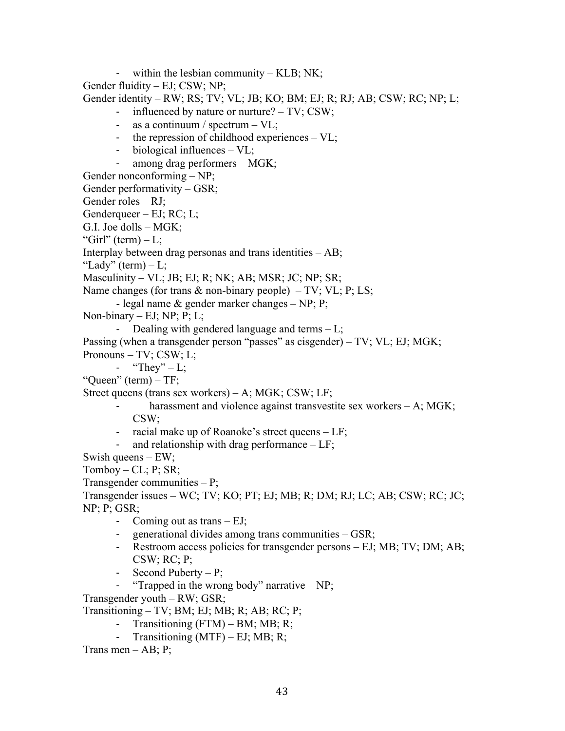- within the lesbian community – KLB; NK;

Gender fluidity – EJ; CSW; NP;

Gender identity – RW; RS; TV; VL; JB; KO; BM; EJ; R; RJ; AB; CSW; RC; NP; L;

- influenced by nature or nurture? TV; CSW;
- as a continuum / spectrum VL;
- the repression of childhood experiences VL;
- biological influences VL;
- among drag performers MGK;

Gender nonconforming – NP;

Gender performativity – GSR;

Gender roles – RJ;

Genderqueer – EJ; RC; L;

G.I. Joe dolls – MGK;

"Girl" (term)  $-L$ ;

Interplay between drag personas and trans identities – AB;

"Lady" (term)  $-L$ ;

Masculinity – VL; JB; EJ; R; NK; AB; MSR; JC; NP; SR;

Name changes (for trans  $\&$  non-binary people) – TV; VL; P; LS;

- legal name & gender marker changes – NP; P;

Non-binary – EJ; NP; P; L;

- Dealing with gendered language and terms – L;

Passing (when a transgender person "passes" as cisgender) – TV; VL; EJ; MGK; Pronouns – TV; CSW; L;

- "They"  $-L;$ 

"Queen" (term) – TF;

Street queens (trans sex workers) – A; MGK; CSW; LF;

- harassment and violence against transvestite sex workers  $A$ ; MGK; CSW;
- racial make up of Roanoke's street queens LF;
- and relationship with drag performance  $-LF$ ;

Swish queens – EW;

 $Tomboy - CL; P; SR;$ 

Transgender communities – P;

Transgender issues – WC; TV; KO; PT; EJ; MB; R; DM; RJ; LC; AB; CSW; RC; JC; NP; P; GSR;

- Coming out as trans EJ;
- generational divides among trans communities GSR;
- Restroom access policies for transgender persons EJ; MB; TV; DM; AB; CSW; RC; P;
- Second Puberty P;
- "Trapped in the wrong body" narrative  $NP$ ;

Transgender youth – RW; GSR;

Transitioning – TV; BM; EJ; MB; R; AB; RC; P;

- Transitioning  $(FTM) BM$ ; MB; R;
- Transitioning (MTF) EJ; MB; R;

Trans men  $-$  AB; P;